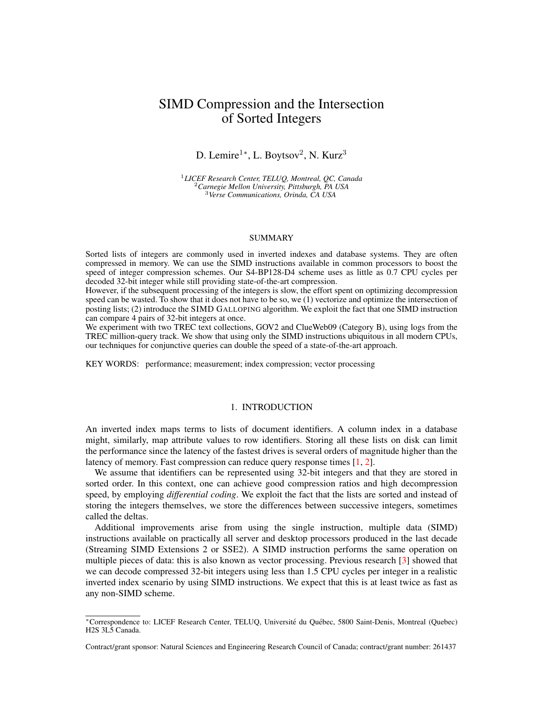# SIMD Compression and the Intersection of Sorted Integers

D. Lemire<sup>1</sup>\*, L. Boytsov<sup>2</sup>, N. Kurz<sup>3</sup>

<sup>1</sup>*LICEF Research Center, TELUQ, Montreal, QC, Canada* <sup>2</sup>*Carnegie Mellon University, Pittsburgh, PA USA* <sup>3</sup>*Verse Communications, Orinda, CA USA*

#### SUMMARY

Sorted lists of integers are commonly used in inverted indexes and database systems. They are often compressed in memory. We can use the SIMD instructions available in common processors to boost the speed of integer compression schemes. Our S4-BP128-D4 scheme uses as little as 0.7 CPU cycles per decoded 32-bit integer while still providing state-of-the-art compression.

However, if the subsequent processing of the integers is slow, the effort spent on optimizing decompression speed can be wasted. To show that it does not have to be so, we (1) vectorize and optimize the intersection of posting lists; (2) introduce the SIMD GALLOPING algorithm. We exploit the fact that one SIMD instruction can compare 4 pairs of 32-bit integers at once.

We experiment with two TREC text collections, GOV2 and ClueWeb09 (Category B), using logs from the TREC million-query track. We show that using only the SIMD instructions ubiquitous in all modern CPUs, our techniques for conjunctive queries can double the speed of a state-of-the-art approach.

KEY WORDS: performance; measurement; index compression; vector processing

#### 1. INTRODUCTION

An inverted index maps terms to lists of document identifiers. A column index in a database might, similarly, map attribute values to row identifiers. Storing all these lists on disk can limit the performance since the latency of the fastest drives is several orders of magnitude higher than the latency of memory. Fast compression can reduce query response times [\[1,](#page-25-0) [2\]](#page-25-1).

We assume that identifiers can be represented using 32-bit integers and that they are stored in sorted order. In this context, one can achieve good compression ratios and high decompression speed, by employing *differential coding*. We exploit the fact that the lists are sorted and instead of storing the integers themselves, we store the differences between successive integers, sometimes called the deltas.

Additional improvements arise from using the single instruction, multiple data (SIMD) instructions available on practically all server and desktop processors produced in the last decade (Streaming SIMD Extensions 2 or SSE2). A SIMD instruction performs the same operation on multiple pieces of data: this is also known as vector processing. Previous research [\[3\]](#page-25-2) showed that we can decode compressed 32-bit integers using less than 1.5 CPU cycles per integer in a realistic inverted index scenario by using SIMD instructions. We expect that this is at least twice as fast as any non-SIMD scheme.

<sup>\*</sup>Correspondence to: LICEF Research Center, TELUQ, Université du Québec, 5800 Saint-Denis, Montreal (Quebec) H2S 3L5 Canada.

Contract/grant sponsor: Natural Sciences and Engineering Research Council of Canada; contract/grant number: 261437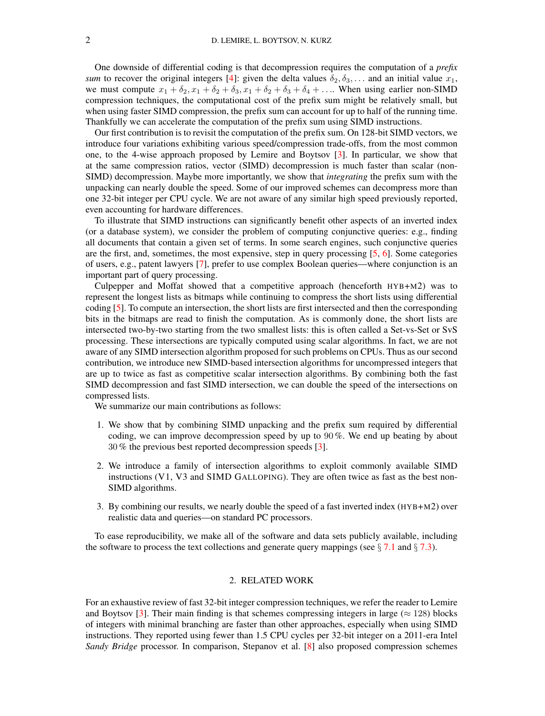One downside of differential coding is that decompression requires the computation of a *prefix sum* to recover the original integers [\[4\]](#page-25-3): given the delta values  $\delta_2, \delta_3, \ldots$  and an initial value  $x_1$ , we must compute  $x_1 + \delta_2$ ,  $x_1 + \delta_2 + \delta_3$ ,  $x_1 + \delta_2 + \delta_3 + \delta_4 + \ldots$  When using earlier non-SIMD compression techniques, the computational cost of the prefix sum might be relatively small, but when using faster SIMD compression, the prefix sum can account for up to half of the running time. Thankfully we can accelerate the computation of the prefix sum using SIMD instructions.

Our first contribution is to revisit the computation of the prefix sum. On 128-bit SIMD vectors, we introduce four variations exhibiting various speed/compression trade-offs, from the most common one, to the 4-wise approach proposed by Lemire and Boytsov [\[3\]](#page-25-2). In particular, we show that at the same compression ratios, vector (SIMD) decompression is much faster than scalar (non-SIMD) decompression. Maybe more importantly, we show that *integrating* the prefix sum with the unpacking can nearly double the speed. Some of our improved schemes can decompress more than one 32-bit integer per CPU cycle. We are not aware of any similar high speed previously reported, even accounting for hardware differences.

To illustrate that SIMD instructions can significantly benefit other aspects of an inverted index (or a database system), we consider the problem of computing conjunctive queries: e.g., finding all documents that contain a given set of terms. In some search engines, such conjunctive queries are the first, and, sometimes, the most expensive, step in query processing [\[5,](#page-25-4) [6\]](#page-25-5). Some categories of users, e.g., patent lawyers [\[7\]](#page-25-6), prefer to use complex Boolean queries—where conjunction is an important part of query processing.

Culpepper and Moffat showed that a competitive approach (henceforth HYB+M2) was to represent the longest lists as bitmaps while continuing to compress the short lists using differential coding [\[5\]](#page-25-4). To compute an intersection, the short lists are first intersected and then the corresponding bits in the bitmaps are read to finish the computation. As is commonly done, the short lists are intersected two-by-two starting from the two smallest lists: this is often called a Set-vs-Set or SvS processing. These intersections are typically computed using scalar algorithms. In fact, we are not aware of any SIMD intersection algorithm proposed for such problems on CPUs. Thus as our second contribution, we introduce new SIMD-based intersection algorithms for uncompressed integers that are up to twice as fast as competitive scalar intersection algorithms. By combining both the fast SIMD decompression and fast SIMD intersection, we can double the speed of the intersections on compressed lists.

We summarize our main contributions as follows:

- 1. We show that by combining SIMD unpacking and the prefix sum required by differential coding, we can improve decompression speed by up to  $90\%$ . We end up beating by about 30 % the previous best reported decompression speeds [\[3\]](#page-25-2).
- 2. We introduce a family of intersection algorithms to exploit commonly available SIMD instructions (V1, V3 and SIMD GALLOPING). They are often twice as fast as the best non-SIMD algorithms.
- 3. By combining our results, we nearly double the speed of a fast inverted index (HYB+M2) over realistic data and queries—on standard PC processors.

To ease reproducibility, we make all of the software and data sets publicly available, including the software to process the text collections and generate query mappings (see  $\S 7.1$  $\S 7.1$  and  $\S 7.3$ ).

## 2. RELATED WORK

For an exhaustive review of fast 32-bit integer compression techniques, we refer the reader to Lemire and Boytsov [\[3\]](#page-25-2). Their main finding is that schemes compressing integers in large ( $\approx$  128) blocks of integers with minimal branching are faster than other approaches, especially when using SIMD instructions. They reported using fewer than 1.5 CPU cycles per 32-bit integer on a 2011-era Intel *Sandy Bridge* processor. In comparison, Stepanov et al. [\[8\]](#page-25-7) also proposed compression schemes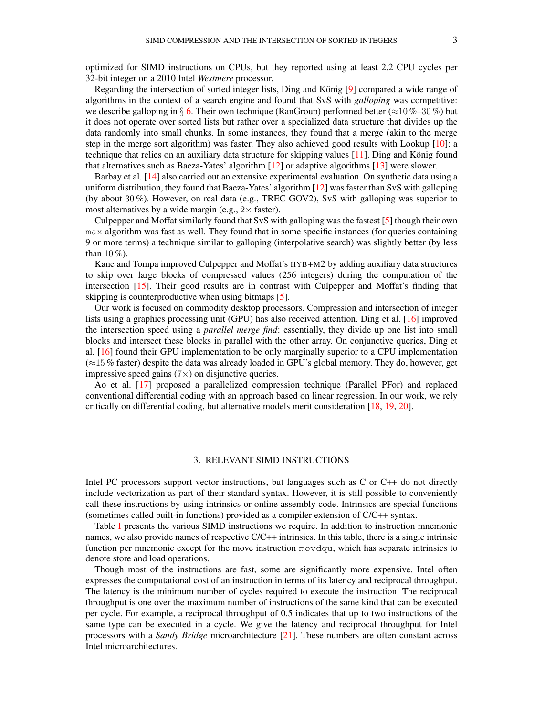optimized for SIMD instructions on CPUs, but they reported using at least 2.2 CPU cycles per 32-bit integer on a 2010 Intel *Westmere* processor.

Regarding the intersection of sorted integer lists, Ding and König  $[9]$  $[9]$  compared a wide range of algorithms in the context of a search engine and found that SvS with *galloping* was competitive: we describe galloping in § [6.](#page-10-0) Their own technique (RanGroup) performed better ( $\approx$ 10 %–30 %) but it does not operate over sorted lists but rather over a specialized data structure that divides up the data randomly into small chunks. In some instances, they found that a merge (akin to the merge step in the merge sort algorithm) was faster. They also achieved good results with Lookup [\[10\]](#page-25-9): a technique that relies on an auxiliary data structure for skipping values  $[11]$ . Ding and König found that alternatives such as Baeza-Yates' algorithm [\[12\]](#page-25-11) or adaptive algorithms [\[13\]](#page-25-12) were slower.

Barbay et al. [\[14\]](#page-26-0) also carried out an extensive experimental evaluation. On synthetic data using a uniform distribution, they found that Baeza-Yates' algorithm [\[12\]](#page-25-11) was faster than SvS with galloping (by about  $30\%$ ). However, on real data (e.g., TREC GOV2), SvS with galloping was superior to most alternatives by a wide margin (e.g.,  $2 \times$  faster).

Culpepper and Moffat similarly found that SvS with galloping was the fastest [\[5\]](#page-25-4) though their own max algorithm was fast as well. They found that in some specific instances (for queries containing 9 or more terms) a technique similar to galloping (interpolative search) was slightly better (by less than  $10\%$ ).

Kane and Tompa improved Culpepper and Moffat's HYB+M2 by adding auxiliary data structures to skip over large blocks of compressed values (256 integers) during the computation of the intersection [\[15\]](#page-26-1). Their good results are in contrast with Culpepper and Moffat's finding that skipping is counterproductive when using bitmaps [\[5\]](#page-25-4).

Our work is focused on commodity desktop processors. Compression and intersection of integer lists using a graphics processing unit (GPU) has also received attention. Ding et al. [\[16\]](#page-26-2) improved the intersection speed using a *parallel merge find*: essentially, they divide up one list into small blocks and intersect these blocks in parallel with the other array. On conjunctive queries, Ding et al. [\[16\]](#page-26-2) found their GPU implementation to be only marginally superior to a CPU implementation (≈15 % faster) despite the data was already loaded in GPU's global memory. They do, however, get impressive speed gains  $(7\times)$  on disjunctive queries.

Ao et al. [\[17\]](#page-26-3) proposed a parallelized compression technique (Parallel PFor) and replaced conventional differential coding with an approach based on linear regression. In our work, we rely critically on differential coding, but alternative models merit consideration [\[18,](#page-26-4) [19,](#page-26-5) [20\]](#page-27-0).

#### 3. RELEVANT SIMD INSTRUCTIONS

<span id="page-2-0"></span>Intel PC processors support vector instructions, but languages such as C or C++ do not directly include vectorization as part of their standard syntax. However, it is still possible to conveniently call these instructions by using intrinsics or online assembly code. Intrinsics are special functions (sometimes called built-in functions) provided as a compiler extension of C/C++ syntax.

Table [I](#page-4-0) presents the various SIMD instructions we require. In addition to instruction mnemonic names, we also provide names of respective C/C++ intrinsics. In this table, there is a single intrinsic function per mnemonic except for the move instruction movdqu, which has separate intrinsics to denote store and load operations.

Though most of the instructions are fast, some are significantly more expensive. Intel often expresses the computational cost of an instruction in terms of its latency and reciprocal throughput. The latency is the minimum number of cycles required to execute the instruction. The reciprocal throughput is one over the maximum number of instructions of the same kind that can be executed per cycle. For example, a reciprocal throughput of 0.5 indicates that up to two instructions of the same type can be executed in a cycle. We give the latency and reciprocal throughput for Intel processors with a *Sandy Bridge* microarchitecture [\[21\]](#page-27-1). These numbers are often constant across Intel microarchitectures.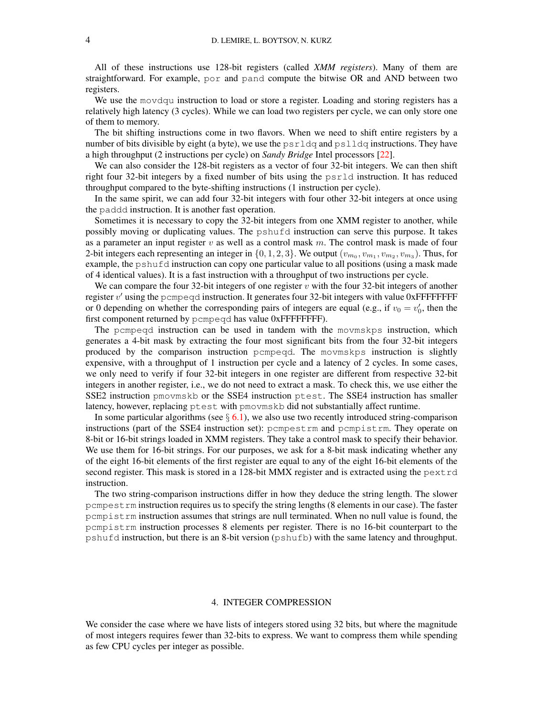All of these instructions use 128-bit registers (called *XMM registers*). Many of them are straightforward. For example, por and pand compute the bitwise OR and AND between two registers.

We use the movdou instruction to load or store a register. Loading and storing registers has a relatively high latency (3 cycles). While we can load two registers per cycle, we can only store one of them to memory.

The bit shifting instructions come in two flavors. When we need to shift entire registers by a number of bits divisible by eight (a byte), we use the  $psrldq$  and  $pslldq$  instructions. They have a high throughput (2 instructions per cycle) on *Sandy Bridge* Intel processors [\[22\]](#page-27-2).

We can also consider the 128-bit registers as a vector of four 32-bit integers. We can then shift right four 32-bit integers by a fixed number of bits using the psrld instruction. It has reduced throughput compared to the byte-shifting instructions (1 instruction per cycle).

In the same spirit, we can add four 32-bit integers with four other 32-bit integers at once using the paddd instruction. It is another fast operation.

Sometimes it is necessary to copy the 32-bit integers from one XMM register to another, while possibly moving or duplicating values. The pshufd instruction can serve this purpose. It takes as a parameter an input register  $v$  as well as a control mask  $m$ . The control mask is made of four 2-bit integers each representing an integer in  $\{0, 1, 2, 3\}$ . We output  $(v_{m_0}, v_{m_1}, v_{m_2}, v_{m_3})$ . Thus, for example, the pshufd instruction can copy one particular value to all positions (using a mask made of 4 identical values). It is a fast instruction with a throughput of two instructions per cycle.

We can compare the four 32-bit integers of one register  $v$  with the four 32-bit integers of another register  $v'$  using the pcmpeqd instruction. It generates four 32-bit integers with value 0xFFFFFFFF or 0 depending on whether the corresponding pairs of integers are equal (e.g., if  $v_0 = v'_0$ , then the first component returned by pcmpeqd has value 0xFFFFFFFF).

The pcmpeqd instruction can be used in tandem with the movmskps instruction, which generates a 4-bit mask by extracting the four most significant bits from the four 32-bit integers produced by the comparison instruction pcmpeqd. The movmskps instruction is slightly expensive, with a throughput of 1 instruction per cycle and a latency of 2 cycles. In some cases, we only need to verify if four 32-bit integers in one register are different from respective 32-bit integers in another register, i.e., we do not need to extract a mask. To check this, we use either the SSE2 instruction pmovmskb or the SSE4 instruction ptest. The SSE4 instruction has smaller latency, however, replacing ptest with pmovmskb did not substantially affect runtime.

In some particular algorithms (see  $\S 6.1$ ), we also use two recently introduced string-comparison instructions (part of the SSE4 instruction set): pcmpestrm and pcmpistrm. They operate on 8-bit or 16-bit strings loaded in XMM registers. They take a control mask to specify their behavior. We use them for 16-bit strings. For our purposes, we ask for a 8-bit mask indicating whether any of the eight 16-bit elements of the first register are equal to any of the eight 16-bit elements of the second register. This mask is stored in a 128-bit MMX register and is extracted using the pextrd instruction.

The two string-comparison instructions differ in how they deduce the string length. The slower pcmpestrm instruction requires us to specify the string lengths (8 elements in our case). The faster pcmpistrm instruction assumes that strings are null terminated. When no null value is found, the pcmpistrm instruction processes 8 elements per register. There is no 16-bit counterpart to the pshufd instruction, but there is an 8-bit version (pshufb) with the same latency and throughput.

# 4. INTEGER COMPRESSION

We consider the case where we have lists of integers stored using 32 bits, but where the magnitude of most integers requires fewer than 32-bits to express. We want to compress them while spending as few CPU cycles per integer as possible.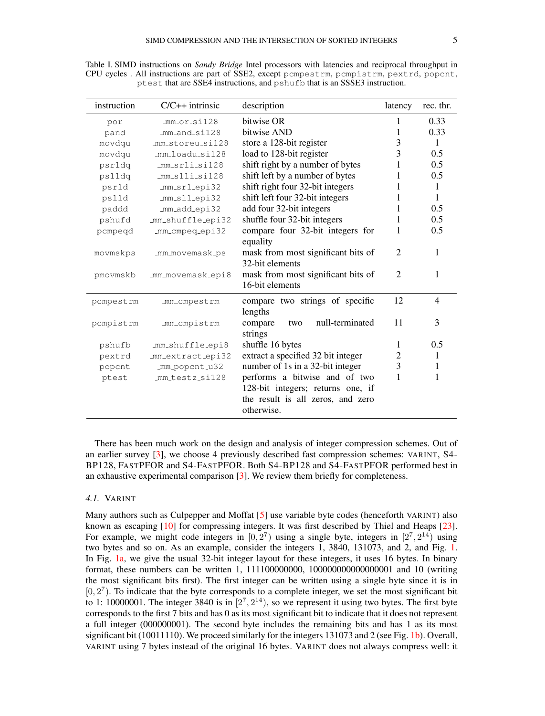| instruction | $C/C++$ intrinsic | description                        | latency        | rec. thr.      |
|-------------|-------------------|------------------------------------|----------------|----------------|
| por         | mm_or_si128       | bitwise OR                         | T              | 0.33           |
| pand        | _mm_and_si128     | bitwise AND                        | 1              | 0.33           |
| movdqu      | mm_storeu_si128   | store a 128-bit register           | 3              | $\mathbf{1}$   |
| movdqu      | mm_loadu_si128    | load to 128-bit register           | 3              | 0.5            |
| psrldq      | _mm_srli_si128    | shift right by a number of bytes   | 1              | 0.5            |
| pslldg      | _mm_slli_si128    | shift left by a number of bytes    | 1              | 0.5            |
| psrld       | _mm_srl_epi32     | shift right four 32-bit integers   | 1              | $\mathbf{1}$   |
| pslld       | mm_sll_epi32      | shift left four 32-bit integers    | 1              | $\mathbf{1}$   |
| paddd       | _mm_add_epi32     | add four 32-bit integers           | 1              | 0.5            |
| pshufd      | _mm_shuffle_epi32 | shuffle four 32-bit integers       | 1              | 0.5            |
| pcmpegd     | _mm_cmpeq_epi32   | compare four 32-bit integers for   | 1              | 0.5            |
|             |                   | equality                           |                |                |
| movmskps    | _mm_movemask_ps   | mask from most significant bits of | $\overline{2}$ | 1              |
|             |                   | 32-bit elements                    |                |                |
| pmovmskb    | _mm_movemask_epi8 | mask from most significant bits of | $\overline{2}$ | 1              |
|             |                   | 16-bit elements                    |                |                |
| pcmpestrm   | _mm_cmpestrm      | compare two strings of specific    | 12             | $\overline{4}$ |
|             |                   | lengths                            |                |                |
| pcmpistrm   | _mm_cmpistrm      | null-terminated<br>compare<br>two  | 11             | 3              |
|             |                   | strings                            |                |                |
| pshufb      | mm_shuffle_epi8   | shuffle 16 bytes                   | 1              | 0.5            |
| pextrd      | _mm_extract_epi32 | extract a specified 32 bit integer | $\overline{2}$ | 1              |
| popcnt      | _mm_popcnt_u32    | number of 1s in a 32-bit integer   | 3              | 1              |
| ptest       | $mm_testz_sii128$ | performs a bitwise and of two      | 1              | 1              |
|             |                   | 128-bit integers; returns one, if  |                |                |
|             |                   | the result is all zeros, and zero  |                |                |
|             |                   | otherwise.                         |                |                |

<span id="page-4-0"></span>Table I. SIMD instructions on *Sandy Bridge* Intel processors with latencies and reciprocal throughput in CPU cycles . All instructions are part of SSE2, except pcmpestrm, pcmpistrm, pextrd, popcnt, ptest that are SSE4 instructions, and pshufb that is an SSSE3 instruction.

There has been much work on the design and analysis of integer compression schemes. Out of an earlier survey [\[3\]](#page-25-2), we choose 4 previously described fast compression schemes: VARINT, S4- BP128, FASTPFOR and S4-FASTPFOR. Both S4-BP128 and S4-FASTPFOR performed best in an exhaustive experimental comparison [\[3\]](#page-25-2). We review them briefly for completeness.

#### <span id="page-4-1"></span>*4.1.* VARINT

Many authors such as Culpepper and Moffat [\[5\]](#page-25-4) use variable byte codes (henceforth VARINT) also known as escaping [\[10\]](#page-25-9) for compressing integers. It was first described by Thiel and Heaps [\[23\]](#page-27-3). For example, we might code integers in  $[0, 2^7)$  using a single byte, integers in  $[2^7, 2^{14})$  using two bytes and so on. As an example, consider the integers 1, 3840, 131073, and 2, and Fig. [1.](#page-5-0) In Fig. [1a,](#page-5-1) we give the usual 32-bit integer layout for these integers, it uses 16 bytes. In binary format, these numbers can be written 1, 111100000000, 100000000000000001 and 10 (writing the most significant bits first). The first integer can be written using a single byte since it is in  $[0, 2<sup>7</sup>)$ . To indicate that the byte corresponds to a complete integer, we set the most significant bit to 1: 10000001. The integer 3840 is in  $[2^7, 2^{14})$ , so we represent it using two bytes. The first byte corresponds to the first 7 bits and has 0 as its most significant bit to indicate that it does not represent a full integer (000000001). The second byte includes the remaining bits and has 1 as its most significant bit (10011110). We proceed similarly for the integers 131073 and 2 (see Fig. [1b\)](#page-5-2). Overall, VARINT using 7 bytes instead of the original 16 bytes. VARINT does not always compress well: it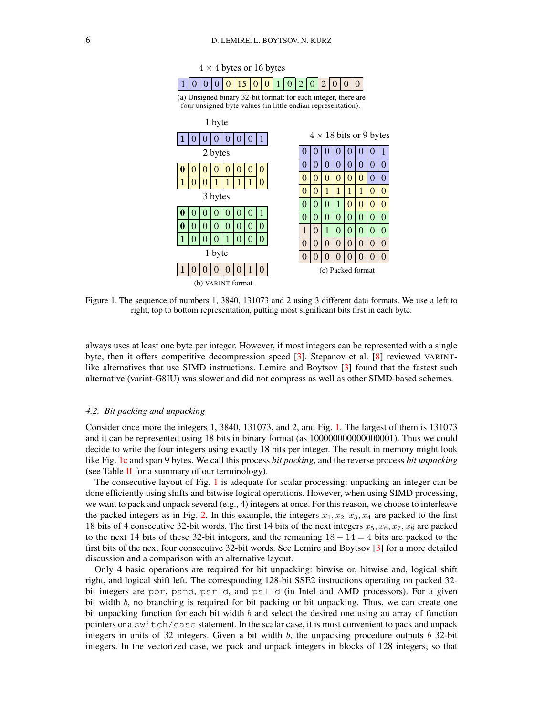<span id="page-5-2"></span><span id="page-5-1"></span><span id="page-5-0"></span>

<span id="page-5-3"></span>Figure 1. The sequence of numbers 1, 3840, 131073 and 2 using 3 different data formats. We use a left to right, top to bottom representation, putting most significant bits first in each byte.

always uses at least one byte per integer. However, if most integers can be represented with a single byte, then it offers competitive decompression speed [\[3\]](#page-25-2). Stepanov et al. [\[8\]](#page-25-7) reviewed VARINTlike alternatives that use SIMD instructions. Lemire and Boytsov [\[3\]](#page-25-2) found that the fastest such alternative (varint-G8IU) was slower and did not compress as well as other SIMD-based schemes.

### <span id="page-5-4"></span>*4.2. Bit packing and unpacking*

Consider once more the integers 1, 3840, 131073, and 2, and Fig. [1.](#page-5-0) The largest of them is 131073 and it can be represented using 18 bits in binary format (as 100000000000000001). Thus we could decide to write the four integers using exactly 18 bits per integer. The result in memory might look like Fig. [1c](#page-5-3) and span 9 bytes. We call this process *bit packing*, and the reverse process *bit unpacking* (see Table [II](#page-8-0) for a summary of our terminology).

The consecutive layout of Fig.  $1$  is adequate for scalar processing: unpacking an integer can be done efficiently using shifts and bitwise logical operations. However, when using SIMD processing, we want to pack and unpack several (e.g., 4) integers at once. For this reason, we choose to interleave the packed integers as in Fig. [2.](#page-6-0) In this example, the integers  $x_1, x_2, x_3, x_4$  are packed to the first 18 bits of 4 consecutive 32-bit words. The first 14 bits of the next integers  $x_5, x_6, x_7, x_8$  are packed to the next 14 bits of these 32-bit integers, and the remaining  $18 - 14 = 4$  bits are packed to the first bits of the next four consecutive 32-bit words. See Lemire and Boytsov [\[3\]](#page-25-2) for a more detailed discussion and a comparison with an alternative layout.

Only 4 basic operations are required for bit unpacking: bitwise or, bitwise and, logical shift right, and logical shift left. The corresponding 128-bit SSE2 instructions operating on packed 32 bit integers are por, pand, psrld, and pslld (in Intel and AMD processors). For a given bit width b, no branching is required for bit packing or bit unpacking. Thus, we can create one bit unpacking function for each bit width  $b$  and select the desired one using an array of function pointers or a switch/case statement. In the scalar case, it is most convenient to pack and unpack integers in units of 32 integers. Given a bit width  $b$ , the unpacking procedure outputs  $b$  32-bit integers. In the vectorized case, we pack and unpack integers in blocks of 128 integers, so that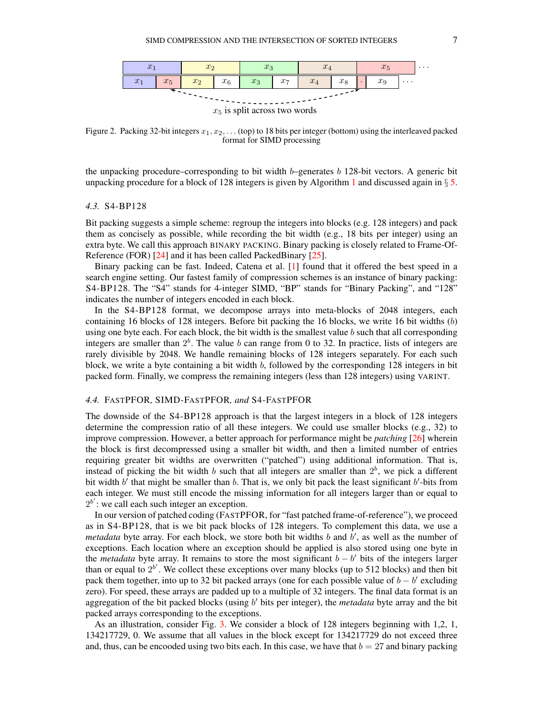<span id="page-6-0"></span>

Figure 2. Packing 32-bit integers  $x_1, x_2, \ldots$  (top) to 18 bits per integer (bottom) using the interleaved packed format for SIMD processing

the unpacking procedure–corresponding to bit width b–generates b 128-bit vectors. A generic bit unpacking procedure for a block of [1](#page-11-1)28 integers is given by Algorithm 1 and discussed again in  $\S$  [5.](#page-8-1)

# <span id="page-6-1"></span>*4.3.* S4-BP128

Bit packing suggests a simple scheme: regroup the integers into blocks (e.g. 128 integers) and pack them as concisely as possible, while recording the bit width (e.g., 18 bits per integer) using an extra byte. We call this approach BINARY PACKING. Binary packing is closely related to Frame-Of-Reference (FOR) [\[24\]](#page-27-4) and it has been called PackedBinary [\[25\]](#page-27-5).

Binary packing can be fast. Indeed, Catena et al. [\[1\]](#page-25-0) found that it offered the best speed in a search engine setting. Our fastest family of compression schemes is an instance of binary packing: S4-BP128. The "S4" stands for 4-integer SIMD, "BP" stands for "Binary Packing", and "128" indicates the number of integers encoded in each block.

In the S4-BP128 format, we decompose arrays into meta-blocks of 2048 integers, each containing 16 blocks of 128 integers. Before bit packing the 16 blocks, we write 16 bit widths  $(b)$ using one byte each. For each block, the bit width is the smallest value b such that all corresponding integers are smaller than  $2<sup>b</sup>$ . The value b can range from 0 to 32. In practice, lists of integers are rarely divisible by 2048. We handle remaining blocks of 128 integers separately. For each such block, we write a byte containing a bit width  $b$ , followed by the corresponding 128 integers in bit packed form. Finally, we compress the remaining integers (less than 128 integers) using VARINT.

#### <span id="page-6-2"></span>*4.4.* FASTPFOR*,* SIMD-FASTPFOR*, and* S4-FASTPFOR

The downside of the S4-BP128 approach is that the largest integers in a block of 128 integers determine the compression ratio of all these integers. We could use smaller blocks (e.g., 32) to improve compression. However, a better approach for performance might be *patching* [\[26\]](#page-27-6) wherein the block is first decompressed using a smaller bit width, and then a limited number of entries requiring greater bit widths are overwritten ("patched") using additional information. That is, instead of picking the bit width  $b$  such that all integers are smaller than  $2^b$ , we pick a different bit width  $b'$  that might be smaller than  $b$ . That is, we only bit pack the least significant  $b'$ -bits from each integer. We must still encode the missing information for all integers larger than or equal to  $2^{b'}$ : we call each such integer an exception.

In our version of patched coding (FASTPFOR, for "fast patched frame-of-reference"), we proceed as in S4-BP128, that is we bit pack blocks of 128 integers. To complement this data, we use a *metadata* byte array. For each block, we store both bit widths b and b', as well as the number of exceptions. Each location where an exception should be applied is also stored using one byte in the *metadata* byte array. It remains to store the most significant  $b - b'$  bits of the integers larger than or equal to  $2^{b'}$ . We collect these exceptions over many blocks (up to 512 blocks) and then bit pack them together, into up to 32 bit packed arrays (one for each possible value of  $b - b'$  excluding zero). For speed, these arrays are padded up to a multiple of 32 integers. The final data format is an aggregation of the bit packed blocks (using b' bits per integer), the *metadata* byte array and the bit packed arrays corresponding to the exceptions.

As an illustration, consider Fig. [3.](#page-7-0) We consider a block of 128 integers beginning with 1,2, 1, 134217729, 0. We assume that all values in the block except for 134217729 do not exceed three and, thus, can be encooded using two bits each. In this case, we have that  $b = 27$  and binary packing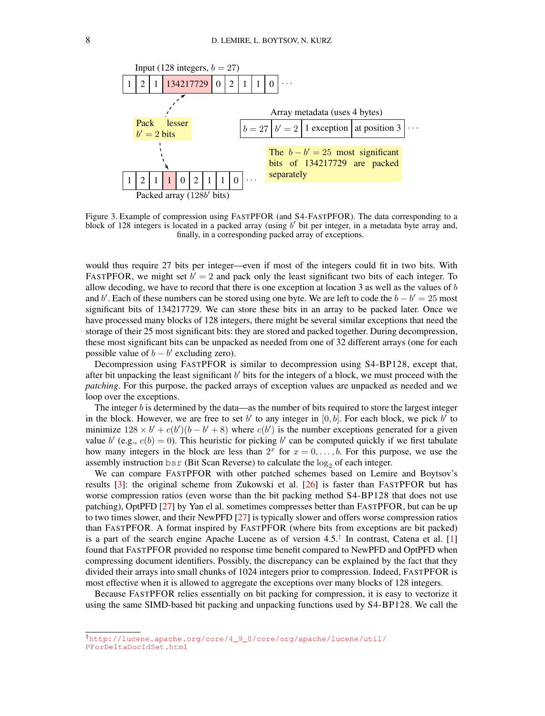<span id="page-7-0"></span>

Figure 3. Example of compression using FASTPFOR (and S4-FASTPFOR). The data corresponding to a block of 128 integers is located in a packed array (using b' bit per integer, in a metadata byte array and, finally, in a corresponding packed array of exceptions.

would thus require 27 bits per integer—even if most of the integers could fit in two bits. With FASTPFOR, we might set  $b' = 2$  and pack only the least significant two bits of each integer. To allow decoding, we have to record that there is one exception at location 3 as well as the values of b and b'. Each of these numbers can be stored using one byte. We are left to code the  $b - b' = 25$  most significant bits of 134217729. We can store these bits in an array to be packed later. Once we have processed many blocks of 128 integers, there might be several similar exceptions that need the storage of their 25 most significant bits: they are stored and packed together. During decompression, these most significant bits can be unpacked as needed from one of 32 different arrays (one for each possible value of  $b - b'$  excluding zero).

Decompression using FASTPFOR is similar to decompression using S4-BP128, except that, after bit unpacking the least significant  $b'$  bits for the integers of a block, we must proceed with the *patching*. For this purpose, the packed arrays of exception values are unpacked as needed and we loop over the exceptions.

The integer  $b$  is determined by the data—as the number of bits required to store the largest integer in the block. However, we are free to set  $b'$  to any integer in [0, b]. For each block, we pick  $b'$  to minimize  $128 \times b' + c(b')(b - b' + 8)$  where  $c(b')$  is the number exceptions generated for a given value b' (e.g.,  $c(b) = 0$ ). This heuristic for picking b' can be computed quickly if we first tabulate how many integers in the block are less than  $2^x$  for  $x = 0, \ldots, b$ . For this purpose, we use the assembly instruction  $bsr$  (Bit Scan Reverse) to calculate the  $log<sub>2</sub>$  of each integer.

We can compare FASTPFOR with other patched schemes based on Lemire and Boytsov's results [\[3\]](#page-25-2): the original scheme from Zukowski et al. [\[26\]](#page-27-6) is faster than FASTPFOR but has worse compression ratios (even worse than the bit packing method S4-BP128 that does not use patching), OptPFD [\[27\]](#page-27-7) by Yan el al. sometimes compresses better than FASTPFOR, but can be up to two times slower, and their NewPFD [\[27\]](#page-27-7) is typically slower and offers worse compression ratios than FASTPFOR. A format inspired by FASTPFOR (where bits from exceptions are bit packed) is a part of the search engine Apache Lucene as of version 4.5.[†](#page-7-1) In contrast, Catena et al. [\[1\]](#page-25-0) found that FASTPFOR provided no response time benefit compared to NewPFD and OptPFD when compressing document identifiers. Possibly, the discrepancy can be explained by the fact that they divided their arrays into small chunks of 1024 integers prior to compression. Indeed, FASTPFOR is most effective when it is allowed to aggregate the exceptions over many blocks of 128 integers.

Because FASTPFOR relies essentially on bit packing for compression, it is easy to vectorize it using the same SIMD-based bit packing and unpacking functions used by S4-BP128. We call the

<span id="page-7-1"></span><sup>†</sup>[http://lucene.apache.org/core/4\\_9\\_0/core/org/apache/lucene/util/](http://lucene.apache.org/core/4_9_0/core/org/apache/lucene/util/PForDeltaDocIdSet.html) [PForDeltaDocIdSet.html](http://lucene.apache.org/core/4_9_0/core/org/apache/lucene/util/PForDeltaDocIdSet.html)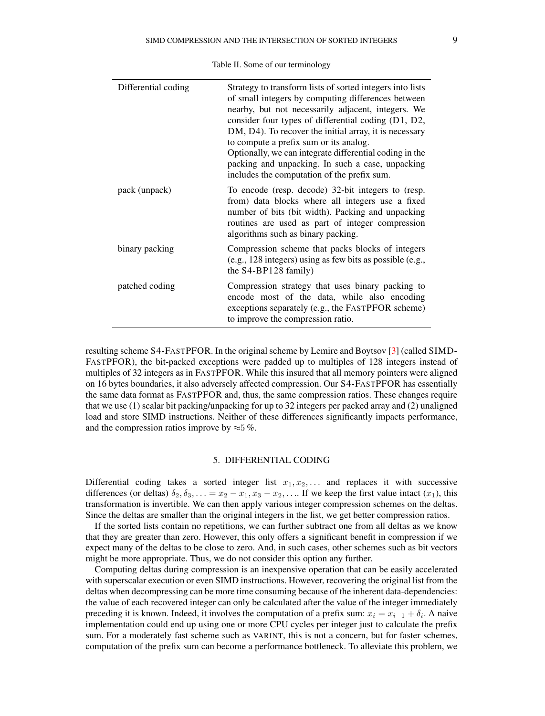<span id="page-8-0"></span>

| Differential coding | Strategy to transform lists of sorted integers into lists<br>of small integers by computing differences between<br>nearby, but not necessarily adjacent, integers. We<br>consider four types of differential coding (D1, D2,<br>DM, D4). To recover the initial array, it is necessary<br>to compute a prefix sum or its analog.<br>Optionally, we can integrate differential coding in the<br>packing and unpacking. In such a case, unpacking<br>includes the computation of the prefix sum. |
|---------------------|------------------------------------------------------------------------------------------------------------------------------------------------------------------------------------------------------------------------------------------------------------------------------------------------------------------------------------------------------------------------------------------------------------------------------------------------------------------------------------------------|
| pack (unpack)       | To encode (resp. decode) 32-bit integers to (resp.<br>from) data blocks where all integers use a fixed<br>number of bits (bit width). Packing and unpacking<br>routines are used as part of integer compression<br>algorithms such as binary packing.                                                                                                                                                                                                                                          |
| binary packing      | Compression scheme that packs blocks of integers<br>(e.g., 128 integers) using as few bits as possible (e.g.,<br>the $S4-BP128$ family)                                                                                                                                                                                                                                                                                                                                                        |
| patched coding      | Compression strategy that uses binary packing to<br>encode most of the data, while also encoding<br>exceptions separately (e.g., the FASTPFOR scheme)<br>to improve the compression ratio.                                                                                                                                                                                                                                                                                                     |

Table II. Some of our terminology

resulting scheme S4-FASTPFOR. In the original scheme by Lemire and Boytsov [\[3\]](#page-25-2) (called SIMD-FASTPFOR), the bit-packed exceptions were padded up to multiples of 128 integers instead of multiples of 32 integers as in FASTPFOR. While this insured that all memory pointers were aligned on 16 bytes boundaries, it also adversely affected compression. Our S4-FASTPFOR has essentially the same data format as FASTPFOR and, thus, the same compression ratios. These changes require that we use (1) scalar bit packing/unpacking for up to 32 integers per packed array and (2) unaligned load and store SIMD instructions. Neither of these differences significantly impacts performance, and the compression ratios improve by  $\approx 5\%$ .

#### 5. DIFFERENTIAL CODING

<span id="page-8-1"></span>Differential coding takes a sorted integer list  $x_1, x_2, \ldots$  and replaces it with successive differences (or deltas)  $\delta_2, \delta_3, \ldots = x_2 - x_1, x_3 - x_2, \ldots$  If we keep the first value intact  $(x_1)$ , this transformation is invertible. We can then apply various integer compression schemes on the deltas. Since the deltas are smaller than the original integers in the list, we get better compression ratios.

If the sorted lists contain no repetitions, we can further subtract one from all deltas as we know that they are greater than zero. However, this only offers a significant benefit in compression if we expect many of the deltas to be close to zero. And, in such cases, other schemes such as bit vectors might be more appropriate. Thus, we do not consider this option any further.

Computing deltas during compression is an inexpensive operation that can be easily accelerated with superscalar execution or even SIMD instructions. However, recovering the original list from the deltas when decompressing can be more time consuming because of the inherent data-dependencies: the value of each recovered integer can only be calculated after the value of the integer immediately preceding it is known. Indeed, it involves the computation of a prefix sum:  $x_i = x_{i-1} + \delta_i$ . A naive implementation could end up using one or more CPU cycles per integer just to calculate the prefix sum. For a moderately fast scheme such as VARINT, this is not a concern, but for faster schemes, computation of the prefix sum can become a performance bottleneck. To alleviate this problem, we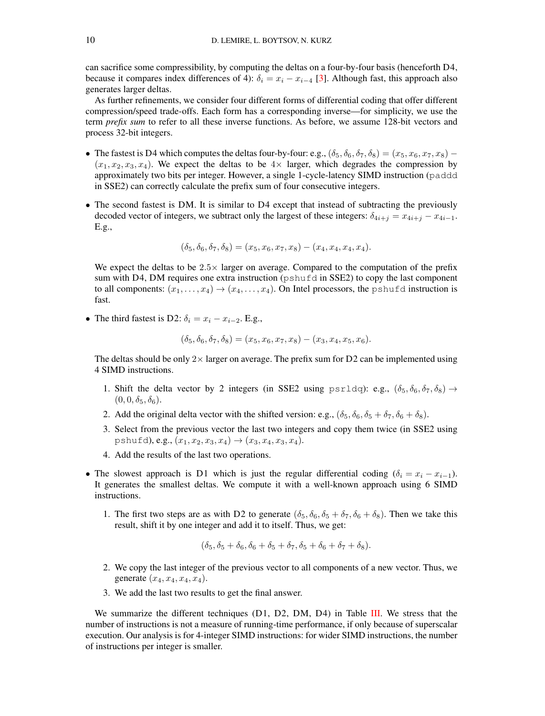can sacrifice some compressibility, by computing the deltas on a four-by-four basis (henceforth D4, because it compares index differences of 4):  $\delta_i = x_i - x_{i-4}$  [\[3\]](#page-25-2). Although fast, this approach also generates larger deltas.

As further refinements, we consider four different forms of differential coding that offer different compression/speed trade-offs. Each form has a corresponding inverse—for simplicity, we use the term *prefix sum* to refer to all these inverse functions. As before, we assume 128-bit vectors and process 32-bit integers.

- The fastest is D4 which computes the deltas four-by-four: e.g.,  $(\delta_5, \delta_6, \delta_7, \delta_8) = (x_5, x_6, x_7, x_8)$   $(x_1, x_2, x_3, x_4)$ . We expect the deltas to be  $4 \times$  larger, which degrades the compression by approximately two bits per integer. However, a single 1-cycle-latency SIMD instruction (paddd in SSE2) can correctly calculate the prefix sum of four consecutive integers.
- The second fastest is DM. It is similar to D4 except that instead of subtracting the previously decoded vector of integers, we subtract only the largest of these integers:  $\delta_{4i+i} = x_{4i+i} - x_{4i-1}$ . E.g.,

$$
(\delta_5, \delta_6, \delta_7, \delta_8) = (x_5, x_6, x_7, x_8) - (x_4, x_4, x_4, x_4).
$$

We expect the deltas to be  $2.5\times$  larger on average. Compared to the computation of the prefix sum with D4, DM requires one extra instruction (pshufd in SSE2) to copy the last component to all components:  $(x_1, \ldots, x_4) \rightarrow (x_4, \ldots, x_4)$ . On Intel processors, the pshufd instruction is fast.

• The third fastest is D2:  $\delta_i = x_i - x_{i-2}$ . E.g.,

$$
(\delta_5, \delta_6, \delta_7, \delta_8) = (x_5, x_6, x_7, x_8) - (x_3, x_4, x_5, x_6).
$$

The deltas should be only  $2\times$  larger on average. The prefix sum for D2 can be implemented using 4 SIMD instructions.

- 1. Shift the delta vector by 2 integers (in SSE2 using psrldq): e.g.,  $(\delta_5, \delta_6, \delta_7, \delta_8) \rightarrow$  $(0, 0, \delta_5, \delta_6).$
- 2. Add the original delta vector with the shifted version: e.g.,  $(\delta_5, \delta_6, \delta_5 + \delta_7, \delta_6 + \delta_8)$ .
- 3. Select from the previous vector the last two integers and copy them twice (in SSE2 using pshufd), e.g.,  $(x_1, x_2, x_3, x_4) \rightarrow (x_3, x_4, x_3, x_4)$ .
- 4. Add the results of the last two operations.
- The slowest approach is D1 which is just the regular differential coding  $(\delta_i = x_i x_{i-1})$ . It generates the smallest deltas. We compute it with a well-known approach using 6 SIMD instructions.
	- 1. The first two steps are as with D2 to generate  $(\delta_5, \delta_6, \delta_5 + \delta_7, \delta_6 + \delta_8)$ . Then we take this result, shift it by one integer and add it to itself. Thus, we get:

$$
(\delta_5, \delta_5 + \delta_6, \delta_6 + \delta_5 + \delta_7, \delta_5 + \delta_6 + \delta_7 + \delta_8).
$$

- 2. We copy the last integer of the previous vector to all components of a new vector. Thus, we generate  $(x_4, x_4, x_4, x_4)$ .
- 3. We add the last two results to get the final answer.

We summarize the different techniques (D1, D2, DM, D4) in Table [III.](#page-10-1) We stress that the number of instructions is not a measure of running-time performance, if only because of superscalar execution. Our analysis is for 4-integer SIMD instructions: for wider SIMD instructions, the number of instructions per integer is smaller.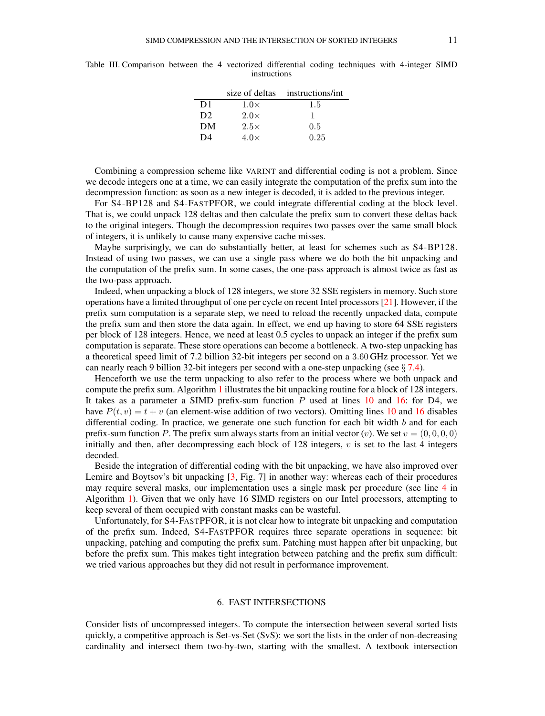|                |             | size of deltas instructions/int |
|----------------|-------------|---------------------------------|
| D1             | $1.0\times$ | 1.5                             |
| D2             | $2.0\times$ |                                 |
| DM             | $2.5\times$ | 0.5                             |
| D <sub>4</sub> | $4.0\times$ | 0.25                            |

<span id="page-10-1"></span>Table III. Comparison between the 4 vectorized differential coding techniques with 4-integer SIMD instructions

Combining a compression scheme like VARINT and differential coding is not a problem. Since we decode integers one at a time, we can easily integrate the computation of the prefix sum into the decompression function: as soon as a new integer is decoded, it is added to the previous integer.

For S4-BP128 and S4-FASTPFOR, we could integrate differential coding at the block level. That is, we could unpack 128 deltas and then calculate the prefix sum to convert these deltas back to the original integers. Though the decompression requires two passes over the same small block of integers, it is unlikely to cause many expensive cache misses.

Maybe surprisingly, we can do substantially better, at least for schemes such as S4-BP128. Instead of using two passes, we can use a single pass where we do both the bit unpacking and the computation of the prefix sum. In some cases, the one-pass approach is almost twice as fast as the two-pass approach.

Indeed, when unpacking a block of 128 integers, we store 32 SSE registers in memory. Such store operations have a limited throughput of one per cycle on recent Intel processors [\[21\]](#page-27-1). However, if the prefix sum computation is a separate step, we need to reload the recently unpacked data, compute the prefix sum and then store the data again. In effect, we end up having to store 64 SSE registers per block of 128 integers. Hence, we need at least 0.5 cycles to unpack an integer if the prefix sum computation is separate. These store operations can become a bottleneck. A two-step unpacking has a theoretical speed limit of 7.2 billion 32-bit integers per second on a 3.60 GHz processor. Yet we can nearly reach 9 billion 32-bit integers per second with a one-step unpacking (see  $\S 7.4$ ).

Henceforth we use the term unpacking to also refer to the process where we both unpack and compute the prefix sum. Algorithm [1](#page-11-1) illustrates the bit unpacking routine for a block of 128 integers. It takes as a parameter a SIMD prefix-sum function  $P$  used at lines [10](#page-11-2) and [16:](#page-11-3) for D4, we have  $P(t, v) = t + v$  (an element-wise addition of two vectors). Omitting lines [10](#page-11-2) and [16](#page-11-3) disables differential coding. In practice, we generate one such function for each bit width  $b$  and for each prefix-sum function P. The prefix sum always starts from an initial vector (v). We set  $v = (0, 0, 0, 0)$ initially and then, after decompressing each block of 128 integers,  $v$  is set to the last 4 integers decoded.

Beside the integration of differential coding with the bit unpacking, we have also improved over Lemire and Boytsov's bit unpacking [\[3,](#page-25-2) Fig. 7] in another way: whereas each of their procedures may require several masks, our implementation uses a single mask per procedure (see line [4](#page-11-4) in Algorithm [1\)](#page-11-1). Given that we only have 16 SIMD registers on our Intel processors, attempting to keep several of them occupied with constant masks can be wasteful.

Unfortunately, for S4-FASTPFOR, it is not clear how to integrate bit unpacking and computation of the prefix sum. Indeed, S4-FASTPFOR requires three separate operations in sequence: bit unpacking, patching and computing the prefix sum. Patching must happen after bit unpacking, but before the prefix sum. This makes tight integration between patching and the prefix sum difficult: we tried various approaches but they did not result in performance improvement.

## 6. FAST INTERSECTIONS

<span id="page-10-0"></span>Consider lists of uncompressed integers. To compute the intersection between several sorted lists quickly, a competitive approach is Set-vs-Set (SvS): we sort the lists in the order of non-decreasing cardinality and intersect them two-by-two, starting with the smallest. A textbook intersection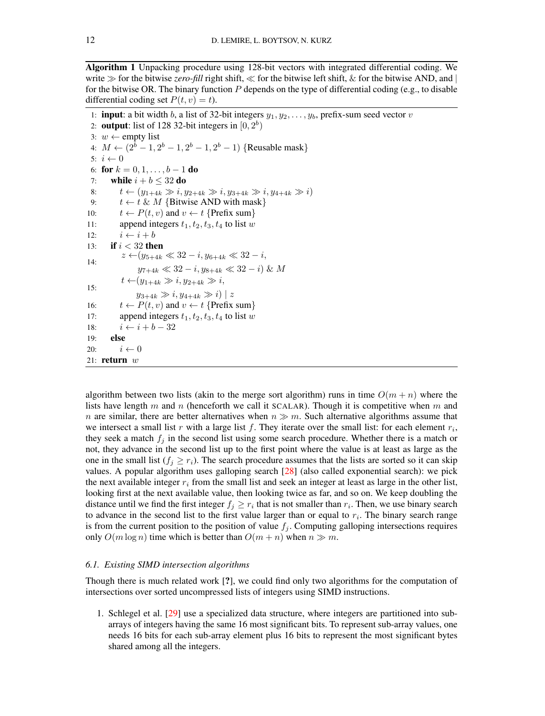<span id="page-11-1"></span>Algorithm 1 Unpacking procedure using 128-bit vectors with integrated differential coding. We write  $\gg$  for the bitwise *zero-fill* right shift,  $\ll$  for the bitwise left shift,  $\&$  for the bitwise AND, and for the bitwise OR. The binary function P depends on the type of differential coding (e.g., to disable differential coding set  $P(t, v) = t$ ).

```
1: input: a bit width b, a list of 32-bit integers y_1, y_2, \ldots, y_b, prefix-sum seed vector v
 2: output: list of 128 32-bit integers in [0, 2<sup>b</sup>)3: w \leftarrow \text{empty list}4: M \leftarrow (2^b - 1, 2^b - 1, 2^b - 1, 2^b - 1) {Reusable mask}
 5: i \leftarrow 06: for k = 0, 1, \ldots, b - 1 do
 7: while i + b \leq 32 do
 8: t \leftarrow (y_{1+4k} \gg i, y_{2+4k} \gg i, y_{3+4k} \gg i, y_{4+4k} \gg i)9: t \leftarrow t \& M {Bitwise AND with mask}
10: t \leftarrow P(t, v) and v \leftarrow t {Prefix sum}
11: append integers t_1, t_2, t_3, t_4 to list w
12: i \leftarrow i + b13: if i < 32 then
14:
           z \leftarrow (y_{5+4k} \ll 32 - i, y_{6+4k} \ll 32 - i,y_{7+4k} \ll 32 - i, y_{8+4k} \ll 32 - i) & M
15:
          t \leftarrow (y_{1+4k} \gg i, y_{2+4k} \gg i,y_{3+4k} \gg i, y_{4+4k} \gg i) | z16: t \leftarrow P(t, v) and v \leftarrow t {Prefix sum}
17: append integers t_1, t_2, t_3, t_4 to list w
18: i \leftarrow i + b - 3219: else
20: i \leftarrow 021: return w
```
<span id="page-11-3"></span>algorithm between two lists (akin to the merge sort algorithm) runs in time  $O(m + n)$  where the lists have length m and n (henceforth we call it SCALAR). Though it is competitive when m and n are similar, there are better alternatives when  $n \gg m$ . Such alternative algorithms assume that we intersect a small list r with a large list f. They iterate over the small list: for each element  $r_i$ , they seek a match  $f_i$  in the second list using some search procedure. Whether there is a match or not, they advance in the second list up to the first point where the value is at least as large as the one in the small list  $(f_j \geq r_i)$ . The search procedure assumes that the lists are sorted so it can skip values. A popular algorithm uses galloping search [\[28\]](#page-27-8) (also called exponential search): we pick the next available integer  $r_i$  from the small list and seek an integer at least as large in the other list, looking first at the next available value, then looking twice as far, and so on. We keep doubling the distance until we find the first integer  $f_j \geq r_i$  that is not smaller than  $r_i$ . Then, we use binary search to advance in the second list to the first value larger than or equal to  $r_i$ . The binary search range is from the current position to the position of value  $f_j$ . Computing galloping intersections requires only  $O(m \log n)$  time which is better than  $O(m + n)$  when  $n \gg m$ .

#### <span id="page-11-0"></span>*6.1. Existing SIMD intersection algorithms*

Though there is much related work [?], we could find only two algorithms for the computation of intersections over sorted uncompressed lists of integers using SIMD instructions.

1. Schlegel et al. [\[29\]](#page-27-9) use a specialized data structure, where integers are partitioned into subarrays of integers having the same 16 most significant bits. To represent sub-array values, one needs 16 bits for each sub-array element plus 16 bits to represent the most significant bytes shared among all the integers.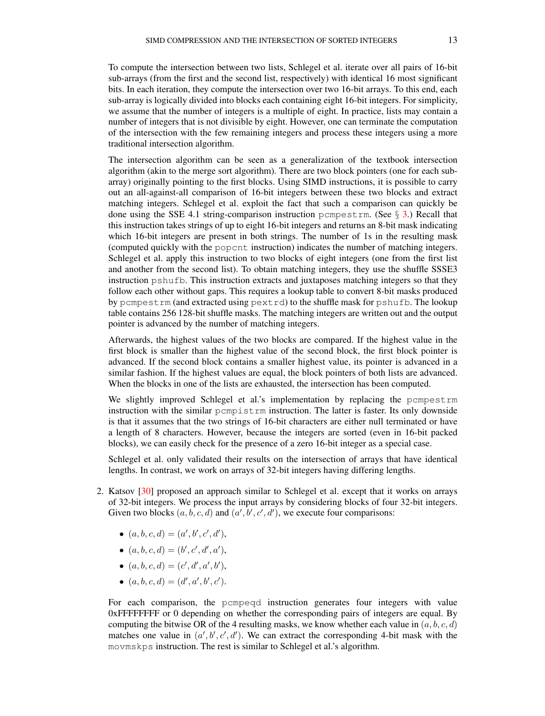To compute the intersection between two lists, Schlegel et al. iterate over all pairs of 16-bit sub-arrays (from the first and the second list, respectively) with identical 16 most significant bits. In each iteration, they compute the intersection over two 16-bit arrays. To this end, each sub-array is logically divided into blocks each containing eight 16-bit integers. For simplicity, we assume that the number of integers is a multiple of eight. In practice, lists may contain a number of integers that is not divisible by eight. However, one can terminate the computation of the intersection with the few remaining integers and process these integers using a more traditional intersection algorithm.

The intersection algorithm can be seen as a generalization of the textbook intersection algorithm (akin to the merge sort algorithm). There are two block pointers (one for each subarray) originally pointing to the first blocks. Using SIMD instructions, it is possible to carry out an all-against-all comparison of 16-bit integers between these two blocks and extract matching integers. Schlegel et al. exploit the fact that such a comparison can quickly be done using the SSE 4.1 string-comparison instruction perspect rm. (See  $\S$  [3.](#page-2-0)) Recall that this instruction takes strings of up to eight 16-bit integers and returns an 8-bit mask indicating which 16-bit integers are present in both strings. The number of 1s in the resulting mask (computed quickly with the popcnt instruction) indicates the number of matching integers. Schlegel et al. apply this instruction to two blocks of eight integers (one from the first list and another from the second list). To obtain matching integers, they use the shuffle SSSE3 instruction pshufb. This instruction extracts and juxtaposes matching integers so that they follow each other without gaps. This requires a lookup table to convert 8-bit masks produced by pcmpestrm (and extracted using pextrd) to the shuffle mask for pshufb. The lookup table contains 256 128-bit shuffle masks. The matching integers are written out and the output pointer is advanced by the number of matching integers.

Afterwards, the highest values of the two blocks are compared. If the highest value in the first block is smaller than the highest value of the second block, the first block pointer is advanced. If the second block contains a smaller highest value, its pointer is advanced in a similar fashion. If the highest values are equal, the block pointers of both lists are advanced. When the blocks in one of the lists are exhausted, the intersection has been computed.

We slightly improved Schlegel et al.'s implementation by replacing the pcmpestrm instruction with the similar pcmpistrm instruction. The latter is faster. Its only downside is that it assumes that the two strings of 16-bit characters are either null terminated or have a length of 8 characters. However, because the integers are sorted (even in 16-bit packed blocks), we can easily check for the presence of a zero 16-bit integer as a special case.

Schlegel et al. only validated their results on the intersection of arrays that have identical lengths. In contrast, we work on arrays of 32-bit integers having differing lengths.

- 2. Katsov [\[30\]](#page-27-10) proposed an approach similar to Schlegel et al. except that it works on arrays of 32-bit integers. We process the input arrays by considering blocks of four 32-bit integers. Given two blocks  $(a, b, c, d)$  and  $(a', b', c', d')$ , we execute four comparisons:
	- $(a, b, c, d) = (a', b', c', d'),$
	- $(a, b, c, d) = (b', c', d', a')$ ,
	- $(a, b, c, d) = (c', d', a', b')$ ,
	- $(a, b, c, d) = (d', a', b', c').$

For each comparison, the pcmpeqd instruction generates four integers with value 0xFFFFFFFF or 0 depending on whether the corresponding pairs of integers are equal. By computing the bitwise OR of the 4 resulting masks, we know whether each value in  $(a, b, c, d)$ matches one value in  $(a', b', c', d')$ . We can extract the corresponding 4-bit mask with the movmskps instruction. The rest is similar to Schlegel et al.'s algorithm.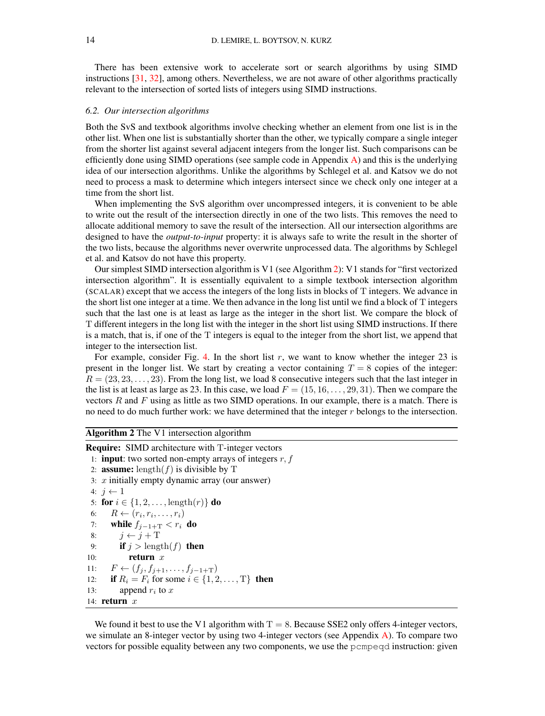There has been extensive work to accelerate sort or search algorithms by using SIMD instructions [\[31,](#page-27-11) [32\]](#page-27-12), among others. Nevertheless, we are not aware of other algorithms practically relevant to the intersection of sorted lists of integers using SIMD instructions.

# *6.2. Our intersection algorithms*

Both the SvS and textbook algorithms involve checking whether an element from one list is in the other list. When one list is substantially shorter than the other, we typically compare a single integer from the shorter list against several adjacent integers from the longer list. Such comparisons can be efficiently done using SIMD operations (see sample code in Appendix [A\)](#page-27-13) and this is the underlying idea of our intersection algorithms. Unlike the algorithms by Schlegel et al. and Katsov we do not need to process a mask to determine which integers intersect since we check only one integer at a time from the short list.

When implementing the SvS algorithm over uncompressed integers, it is convenient to be able to write out the result of the intersection directly in one of the two lists. This removes the need to allocate additional memory to save the result of the intersection. All our intersection algorithms are designed to have the *output-to-input* property: it is always safe to write the result in the shorter of the two lists, because the algorithms never overwrite unprocessed data. The algorithms by Schlegel et al. and Katsov do not have this property.

Our simplest SIMD intersection algorithm is V1 (see Algorithm [2\)](#page-13-0): V1 stands for "first vectorized intersection algorithm". It is essentially equivalent to a simple textbook intersection algorithm (SCALAR) except that we access the integers of the long lists in blocks of T integers. We advance in the short list one integer at a time. We then advance in the long list until we find a block of T integers such that the last one is at least as large as the integer in the short list. We compare the block of T different integers in the long list with the integer in the short list using SIMD instructions. If there is a match, that is, if one of the T integers is equal to the integer from the short list, we append that integer to the intersection list.

For example, consider Fig. [4.](#page-14-0) In the short list  $r$ , we want to know whether the integer 23 is present in the longer list. We start by creating a vector containing  $T = 8$  copies of the integer:  $R = (23, 23, \ldots, 23)$ . From the long list, we load 8 consecutive integers such that the last integer in the list is at least as large as 23. In this case, we load  $F = (15, 16, \ldots, 29, 31)$ . Then we compare the vectors  $R$  and  $F$  using as little as two SIMD operations. In our example, there is a match. There is no need to do much further work: we have determined that the integer r belongs to the intersection.

# <span id="page-13-0"></span>Algorithm 2 The V1 intersection algorithm

| <b>Require:</b> SIMD architecture with T-integer vectors            |
|---------------------------------------------------------------------|
| 1: <b>input</b> : two sorted non-empty arrays of integers $r$ , $f$ |
| 2: <b>assume:</b> length( $f$ ) is divisible by T                   |
| 3: $x$ initially empty dynamic array (our answer)                   |
| 4: $i \leftarrow 1$                                                 |
| 5: for $i \in \{1, 2, , \text{length}(r)\}\$ do                     |
| 6: $R \leftarrow (r_i, r_i, \ldots, r_i)$                           |
| 7: while $f_{j-1+T} < r_i$ do                                       |
| $i \leftarrow j + T$<br>8:                                          |
| <b>if</b> $j >$ length(f) <b>then</b><br>9:                         |
| return $x$<br>10:                                                   |
| 11: $F \leftarrow (f_i, f_{i+1}, \ldots, f_{i-1+T})$                |
| 12: <b>if</b> $R_i = F_i$ for some $i \in \{1, 2, , T\}$ then       |
| append $r_i$ to $x$<br>13:                                          |
| 14: return $x$                                                      |

We found it best to use the V1 algorithm with  $T = 8$ . Because SSE2 only offers 4-integer vectors, we simulate an 8-integer vector by using two 4-integer vectors (see Appendix [A\)](#page-27-13). To compare two vectors for possible equality between any two components, we use the pcmpeqd instruction: given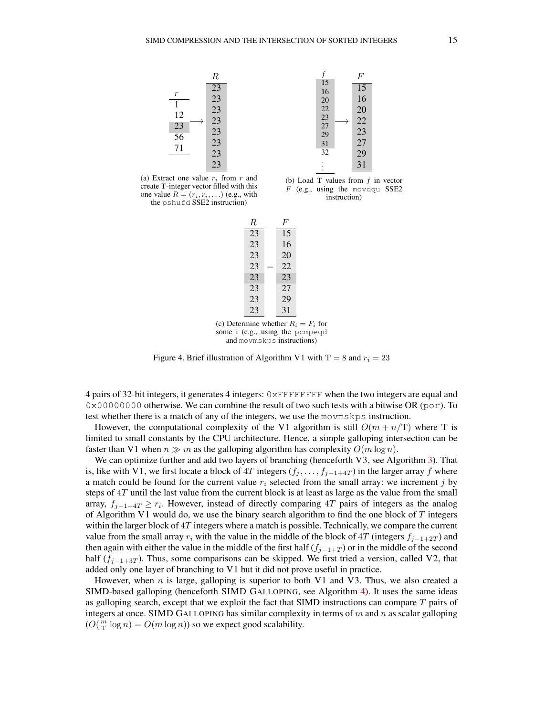<span id="page-14-0"></span>



(a) Extract one value  $r_i$  from r and create T-integer vector filled with this one value  $R = (r_i, r_i, \ldots)$  (e.g., with the pshufd SSE2 instruction)

(b) Load T values from  $f$  in vector F (e.g., using the movdqu SSE2 instruction)



(c) Determine whether  $R_i = F_i$  for some i (e.g., using the pcmpeqd and movmskps instructions)

Figure 4. Brief illustration of Algorithm V1 with  $T = 8$  and  $r_i = 23$ 

4 pairs of 32-bit integers, it generates 4 integers: 0xFFFFFFFF when the two integers are equal and  $0 \times 00000000$  otherwise. We can combine the result of two such tests with a bitwise OR (por). To test whether there is a match of any of the integers, we use the movmskps instruction.

However, the computational complexity of the V1 algorithm is still  $O(m + n/T)$  where T is limited to small constants by the CPU architecture. Hence, a simple galloping intersection can be faster than V1 when  $n \gg m$  as the galloping algorithm has complexity  $O(m \log n)$ .

We can optimize further and add two layers of branching (henceforth V3, see Algorithm [3\)](#page-16-1). That is, like with V1, we first locate a block of 4T integers  $(f_j, \ldots, f_{j-1+4T})$  in the larger array f where a match could be found for the current value  $r_i$  selected from the small array: we increment j by steps of 4T until the last value from the current block is at least as large as the value from the small array,  $f_{j-1+4T} \ge r_i$ . However, instead of directly comparing 4T pairs of integers as the analog of Algorithm V1 would do, we use the binary search algorithm to find the one block of  $T$  integers within the larger block of 4T integers where a match is possible. Technically, we compare the current value from the small array  $r_i$  with the value in the middle of the block of 4T (integers  $f_{i-1+2T}$ ) and then again with either the value in the middle of the first half  $(f_{j-1+T})$  or in the middle of the second half ( $f_{j-1+3T}$ ). Thus, some comparisons can be skipped. We first tried a version, called V2, that added only one layer of branching to V1 but it did not prove useful in practice.

<span id="page-14-1"></span>However, when  $n$  is large, galloping is superior to both V1 and V3. Thus, we also created a SIMD-based galloping (henceforth SIMD GALLOPING, see Algorithm [4\)](#page-16-2). It uses the same ideas as galloping search, except that we exploit the fact that SIMD instructions can compare  $T$  pairs of integers at once. SIMD GALLOPING has similar complexity in terms of  $m$  and  $n$  as scalar galloping  $(O(\frac{m}{T} \log n) = O(m \log n))$  so we expect good scalability.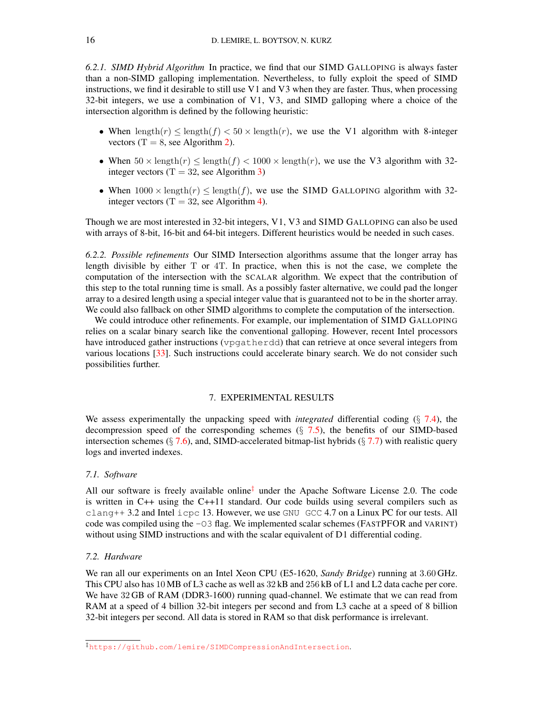*6.2.1. SIMD Hybrid Algorithm* In practice, we find that our SIMD GALLOPING is always faster than a non-SIMD galloping implementation. Nevertheless, to fully exploit the speed of SIMD instructions, we find it desirable to still use V1 and V3 when they are faster. Thus, when processing 32-bit integers, we use a combination of V1, V3, and SIMD galloping where a choice of the intersection algorithm is defined by the following heuristic:

- When length(r)  $\leq$  length(f)  $<$  50  $\times$  length(r), we use the V1 algorithm with 8-integer vectors (T = 8, see Algorithm [2\)](#page-13-0).
- When  $50 \times \text{length}(r) \leq \text{length}(f) \leq 1000 \times \text{length}(r)$ , we use the V3 algorithm with 32integer vectors  $(T = 32$ , see Algorithm [3\)](#page-16-1)
- When  $1000 \times \text{length}(r) \leq \text{length}(f)$ , we use the SIMD GALLOPING algorithm with 32integer vectors  $(T = 32$ , see Algorithm [4\)](#page-16-2).

Though we are most interested in 32-bit integers, V1, V3 and SIMD GALLOPING can also be used with arrays of 8-bit, 16-bit and 64-bit integers. Different heuristics would be needed in such cases.

*6.2.2. Possible refinements* Our SIMD Intersection algorithms assume that the longer array has length divisible by either T or 4T. In practice, when this is not the case, we complete the computation of the intersection with the SCALAR algorithm. We expect that the contribution of this step to the total running time is small. As a possibly faster alternative, we could pad the longer array to a desired length using a special integer value that is guaranteed not to be in the shorter array. We could also fallback on other SIMD algorithms to complete the computation of the intersection.

We could introduce other refinements. For example, our implementation of SIMD GALLOPING relies on a scalar binary search like the conventional galloping. However, recent Intel processors have introduced gather instructions (vpgatherdd) that can retrieve at once several integers from various locations [\[33\]](#page-27-14). Such instructions could accelerate binary search. We do not consider such possibilities further.

## 7. EXPERIMENTAL RESULTS

We assess experimentally the unpacking speed with *integrated* differential coding (§ [7.4\)](#page-17-0), the decompression speed of the corresponding schemes  $(\S$  [7.5\)](#page-19-0), the benefits of our SIMD-based intersection schemes ( $\S$  [7.6\)](#page-20-0), and, SIMD-accelerated bitmap-list hybrids ( $\S$  [7.7\)](#page-21-0) with realistic query logs and inverted indexes.

## <span id="page-15-0"></span>*7.1. Software*

All our software is freely available online<sup> $‡$ </sup> under the Apache Software License 2.0. The code is written in C++ using the C++11 standard. Our code builds using several compilers such as clang++ 3.2 and Intel icpc 13. However, we use GNU GCC 4.7 on a Linux PC for our tests. All code was compiled using the -O3 flag. We implemented scalar schemes (FASTPFOR and VARINT) without using SIMD instructions and with the scalar equivalent of D1 differential coding.

# *7.2. Hardware*

We ran all our experiments on an Intel Xeon CPU (E5-1620, *Sandy Bridge*) running at 3.60 GHz. This CPU also has 10 MB of L3 cache as well as 32 kB and 256 kB of L1 and L2 data cache per core. We have 32 GB of RAM (DDR3-1600) running quad-channel. We estimate that we can read from RAM at a speed of 4 billion 32-bit integers per second and from L3 cache at a speed of 8 billion 32-bit integers per second. All data is stored in RAM so that disk performance is irrelevant.

<span id="page-15-1"></span><sup>‡</sup><https://github.com/lemire/SIMDCompressionAndIntersection>.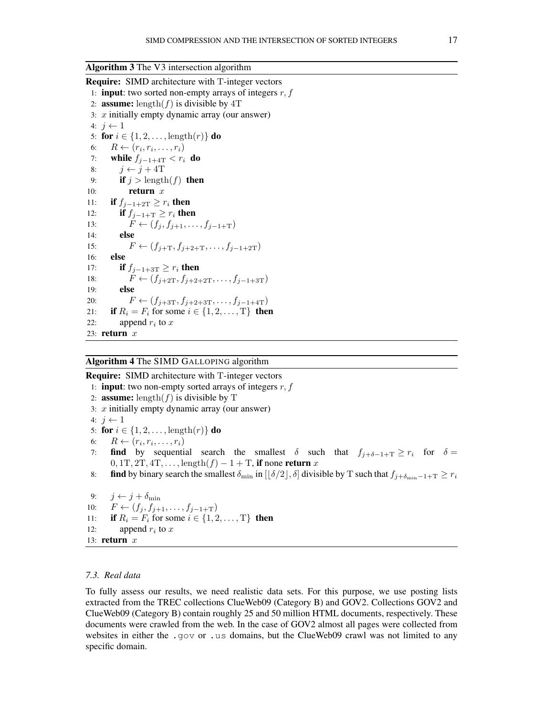#### <span id="page-16-1"></span>Algorithm 3 The V3 intersection algorithm

Require: SIMD architecture with T-integer vectors 1: **input**: two sorted non-empty arrays of integers  $r$ ,  $f$ 2: **assume:** length( $f$ ) is divisible by  $4T$ 3:  $x$  initially empty dynamic array (our answer) 4:  $i \leftarrow 1$ 5: **for**  $i \in \{1, 2, ..., \text{length}(r)\}\)$  **do** 6:  $R \leftarrow (r_i, r_i, \ldots, r_i)$ 7: while  $f_{i-1+4T} < r_i$  do 8:  $j \leftarrow j + 4T$ 9: **if**  $j > \text{length}(f)$  then 10: return  $x$ 11: **if**  $f_{i-1+2T} \ge r_i$  then 12: **if**  $f_{j-1+T} \geq r_i$  then 13:  $F \leftarrow (f_j, f_{j+1}, \ldots, f_{j-1+T})$ 14: else 15:  $F \leftarrow (f_{j+T}, f_{j+2+T}, \ldots, f_{j-1+2T})$ 16: else 17: **if**  $f_{j-1+3T} \geq r_i$  then 18:  $F \leftarrow (f_{j+2T}, f_{j+2+2T}, \ldots, f_{j-1+3T})$ 19: else 20:  $F \leftarrow (f_{j+3T}, f_{j+2+3T}, \dots, f_{j-1+4T})$ <br>
21: **if**  $R_i = F_i$  for some  $i \in \{1, 2, \dots, T\}$  **the** if  $R_i = F_i$  for some  $i \in \{1, 2, \dots, T\}$  then 22: append  $r_i$  to  $x$ 23: return x

# <span id="page-16-2"></span>Algorithm 4 The SIMD GALLOPING algorithm

Require: SIMD architecture with T-integer vectors

1: **input**: two non-empty sorted arrays of integers  $r$ ,  $f$ 

2: **assume:** length( $f$ ) is divisible by T

```
3: x initially empty dynamic array (our answer)
```

```
4: j \leftarrow 15: for i \in \{1, 2, ..., \text{length}(r)\}\) do
```

```
6: R \leftarrow (r_i, r_i, \ldots, r_i)
```
- 7: **find** by sequential search the smallest  $\delta$  such that  $f_{j+\delta-1+T} \ge r_i$  for  $\delta =$  $0, 1T, 2T, 4T, \ldots$ , length $(f) - 1 + T$ , if none return x
- 8: find by binary search the smallest  $\delta_{\min}$  in  $[\delta/2,\delta]$  divisible by T such that  $f_{j+\delta_{\min}-1+T} \geq r_i$

9:  $j \leftarrow j + \delta_{\min}$ 10:  $F \leftarrow (f_j, f_{j+1}, \ldots, f_{j-1+T})$ 11: **if**  $R_i = F_i$  for some  $i \in \{1, 2, ..., T\}$  then 12: append  $r_i$  to  $x$ 13: return  $x$ 

### <span id="page-16-0"></span>*7.3. Real data*

To fully assess our results, we need realistic data sets. For this purpose, we use posting lists extracted from the TREC collections ClueWeb09 (Category B) and GOV2. Collections GOV2 and ClueWeb09 (Category B) contain roughly 25 and 50 million HTML documents, respectively. These documents were crawled from the web. In the case of GOV2 almost all pages were collected from websites in either the .gov or .us domains, but the ClueWeb09 crawl was not limited to any specific domain.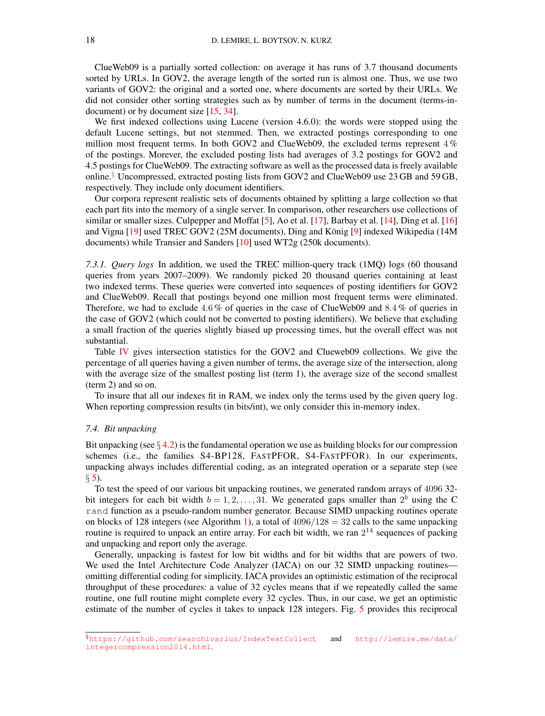ClueWeb09 is a partially sorted collection: on average it has runs of 3.7 thousand documents sorted by URLs. In GOV2, the average length of the sorted run is almost one. Thus, we use two variants of GOV2: the original and a sorted one, where documents are sorted by their URLs. We did not consider other sorting strategies such as by number of terms in the document (terms-indocument) or by document size [\[15,](#page-26-1) [34\]](#page-27-15).

We first indexed collections using Lucene (version 4.6.0): the words were stopped using the default Lucene settings, but not stemmed. Then, we extracted postings corresponding to one million most frequent terms. In both GOV2 and ClueWeb09, the excluded terms represent  $4\%$ of the postings. Morever, the excluded posting lists had averages of 3.2 postings for GOV2 and 4.5 postings for ClueWeb09. The extracting software as well as the processed data is freely available online.[§](#page-17-1) Uncompressed, extracted posting lists from GOV2 and ClueWeb09 use 23 GB and 59 GB, respectively. They include only document identifiers.

Our corpora represent realistic sets of documents obtained by splitting a large collection so that each part fits into the memory of a single server. In comparison, other researchers use collections of similar or smaller sizes. Culpepper and Moffat [\[5\]](#page-25-4), Ao et al. [\[17\]](#page-26-3), Barbay et al. [\[14\]](#page-26-0), Ding et al. [\[16\]](#page-26-2) and Vigna  $[19]$  used TREC GOV2 (25M documents), Ding and König  $[9]$  $[9]$  indexed Wikipedia (14M documents) while Transier and Sanders [\[10\]](#page-25-9) used WT2g (250k documents).

<span id="page-17-2"></span>*7.3.1. Query logs* In addition, we used the TREC million-query track (1MQ) logs (60 thousand queries from years 2007–2009). We randomly picked 20 thousand queries containing at least two indexed terms. These queries were converted into sequences of posting identifiers for GOV2 and ClueWeb09. Recall that postings beyond one million most frequent terms were eliminated. Therefore, we had to exclude  $4.6\%$  of queries in the case of ClueWeb09 and  $8.4\%$  of queries in the case of GOV2 (which could not be converted to posting identifiers). We believe that excluding a small fraction of the queries slightly biased up processing times, but the overall effect was not substantial.

Table [IV](#page-18-0) gives intersection statistics for the GOV2 and Clueweb09 collections. We give the percentage of all queries having a given number of terms, the average size of the intersection, along with the average size of the smallest posting list (term 1), the average size of the second smallest (term 2) and so on.

To insure that all our indexes fit in RAM, we index only the terms used by the given query log. When reporting compression results (in bits/int), we only consider this in-memory index.

#### <span id="page-17-0"></span>*7.4. Bit unpacking*

Bit unpacking (see  $\S 4.2$ ) is the fundamental operation we use as building blocks for our compression schemes (i.e., the families S4-BP128, FASTPFOR, S4-FASTPFOR). In our experiments, unpacking always includes differential coding, as an integrated operation or a separate step (see  $\S$  [5\)](#page-8-1).

To test the speed of our various bit unpacking routines, we generated random arrays of 4096 32 bit integers for each bit width  $b = 1, 2, \ldots, 31$ . We generated gaps smaller than  $2^b$  using the C rand function as a pseudo-random number generator. Because SIMD unpacking routines operate on blocks of 128 integers (see Algorithm [1\)](#page-11-1), a total of  $4096/128 = 32$  calls to the same unpacking routine is required to unpack an entire array. For each bit width, we ran  $2^{14}$  sequences of packing and unpacking and report only the average.

Generally, unpacking is fastest for low bit widths and for bit widths that are powers of two. We used the Intel Architecture Code Analyzer (IACA) on our 32 SIMD unpacking routines omitting differential coding for simplicity. IACA provides an optimistic estimation of the reciprocal throughput of these procedures: a value of 32 cycles means that if we repeatedly called the same routine, one full routine might complete every 32 cycles. Thus, in our case, we get an optimistic estimate of the number of cycles it takes to unpack 128 integers. Fig. [5](#page-18-1) provides this reciprocal

<span id="page-17-1"></span><sup>§</sup><https://github.com/searchivarius/IndexTextCollect> and [http://lemire.me/data/](http://lemire.me/data/integercompression2014.html) [integercompression2014.html](http://lemire.me/data/integercompression2014.html).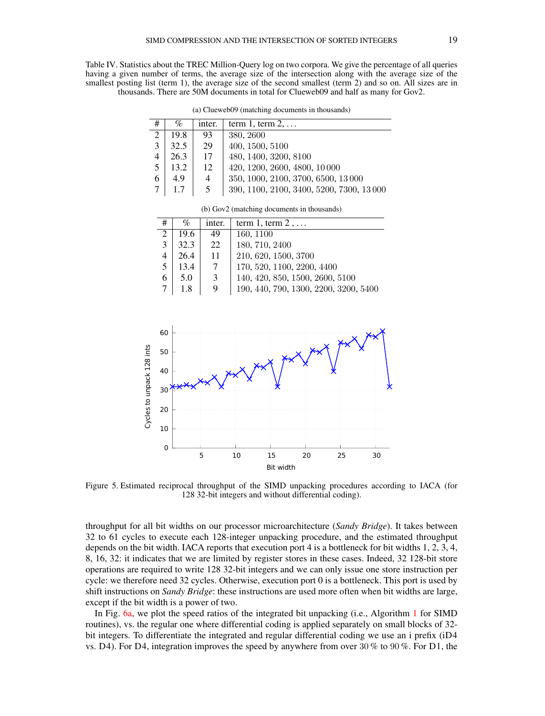<span id="page-18-0"></span>Table IV. Statistics about the TREC Million-Query log on two corpora. We give the percentage of all queries having a given number of terms, the average size of the intersection along with the average size of the smallest posting list (term 1), the average size of the second smallest (term 2) and so on. All sizes are in thousands. There are 50M documents in total for Clueweb09 and half as many for Gov2.

(a) Clueweb09 (matching documents in thousands)

| # | $\%$ | inter. | term $1$ , term $2$ ,                    |
|---|------|--------|------------------------------------------|
| 2 | 19.8 | 93     | 380, 2600                                |
| 3 | 32.5 | 29     | 400, 1500, 5100                          |
|   | 26.3 | 17     | 480, 1400, 3200, 8100                    |
| 5 | 13.2 | 12     | 420, 1200, 2600, 4800, 10 000            |
| 6 | 4.9  | 4      | 350, 1000, 2100, 3700, 6500, 13000       |
|   | 17   | 5      | 390, 1100, 2100, 3400, 5200, 7300, 13000 |

(b) Gov2 (matching documents in thousands)

| #              | $\%$ | inter. | term $1$ , term $2$ ,                 |
|----------------|------|--------|---------------------------------------|
| 2              | 19.6 | 49     | 160, 1100                             |
| $\overline{3}$ | 32.3 | 22     | 180, 710, 2400                        |
|                | 26.4 | 11     | 210, 620, 1500, 3700                  |
| 5              | 13.4 |        | 170, 520, 1100, 2200, 4400            |
| 6              | 5.0  | 3      | 140, 420, 850, 1500, 2600, 5100       |
|                | 1.8  |        | 190, 440, 790, 1300, 2200, 3200, 5400 |

<span id="page-18-1"></span>

Figure 5. Estimated reciprocal throughput of the SIMD unpacking procedures according to IACA (for 128 32-bit integers and without differential coding).

throughput for all bit widths on our processor microarchitecture (*Sandy Bridge*). It takes between 32 to 61 cycles to execute each 128-integer unpacking procedure, and the estimated throughput depends on the bit width. IACA reports that execution port 4 is a bottleneck for bit widths 1, 2, 3, 4, 8, 16, 32: it indicates that we are limited by register stores in these cases. Indeed, 32 128-bit store operations are required to write 128 32-bit integers and we can only issue one store instruction per cycle: we therefore need 32 cycles. Otherwise, execution port 0 is a bottleneck. This port is used by shift instructions on *Sandy Bridge*: these instructions are used more often when bit widths are large, except if the bit width is a power of two.

In Fig. [6a,](#page-19-1) we plot the speed ratios of the integrated bit unpacking (i.e., Algorithm [1](#page-11-1) for SIMD routines), vs. the regular one where differential coding is applied separately on small blocks of 32 bit integers. To differentiate the integrated and regular differential coding we use an i prefix (iD4 vs. D4). For D4, integration improves the speed by anywhere from over 30 % to 90 %. For D1, the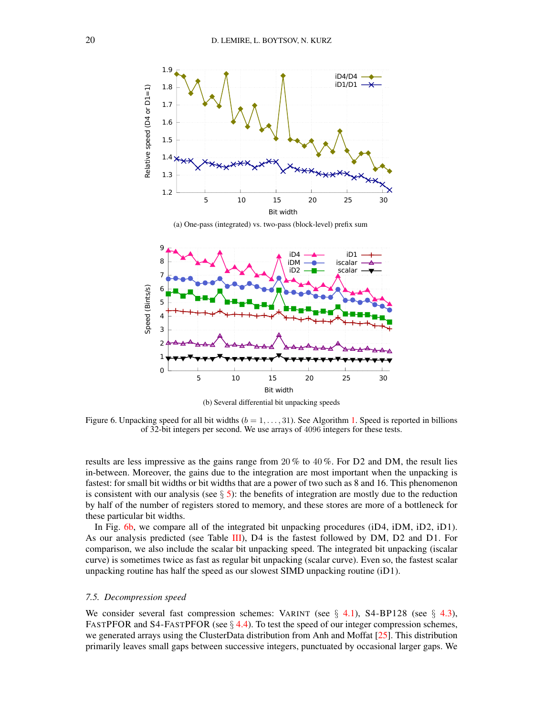<span id="page-19-1"></span>

(a) One-pass (integrated) vs. two-pass (block-level) prefix sum

<span id="page-19-2"></span>

(b) Several differential bit unpacking speeds

Figure 6. Unpacking speed for all bit widths ( $b = 1, \ldots, 31$ ). See Algorithm [1.](#page-11-1) Speed is reported in billions of 32-bit integers per second. We use arrays of 4096 integers for these tests.

results are less impressive as the gains range from  $20\%$  to  $40\%$ . For D2 and DM, the result lies in-between. Moreover, the gains due to the integration are most important when the unpacking is fastest: for small bit widths or bit widths that are a power of two such as 8 and 16. This phenomenon is consistent with our analysis (see  $\S$  [5\)](#page-8-1): the benefits of integration are mostly due to the reduction by half of the number of registers stored to memory, and these stores are more of a bottleneck for these particular bit widths.

In Fig. [6b,](#page-19-2) we compare all of the integrated bit unpacking procedures (iD4, iDM, iD2, iD1). As our analysis predicted (see Table [III\)](#page-10-1), D4 is the fastest followed by DM, D2 and D1. For comparison, we also include the scalar bit unpacking speed. The integrated bit unpacking (iscalar curve) is sometimes twice as fast as regular bit unpacking (scalar curve). Even so, the fastest scalar unpacking routine has half the speed as our slowest SIMD unpacking routine (iD1).

# <span id="page-19-0"></span>*7.5. Decompression speed*

We consider several fast compression schemes: VARINT (see  $\S$  [4.1\)](#page-4-1), S4-BP128 (see  $\S$  [4.3\)](#page-6-1), FASTPFOR and S4-FASTPFOR (see  $\S$  [4.4\)](#page-6-2). To test the speed of our integer compression schemes, we generated arrays using the ClusterData distribution from Anh and Moffat [\[25\]](#page-27-5). This distribution primarily leaves small gaps between successive integers, punctuated by occasional larger gaps. We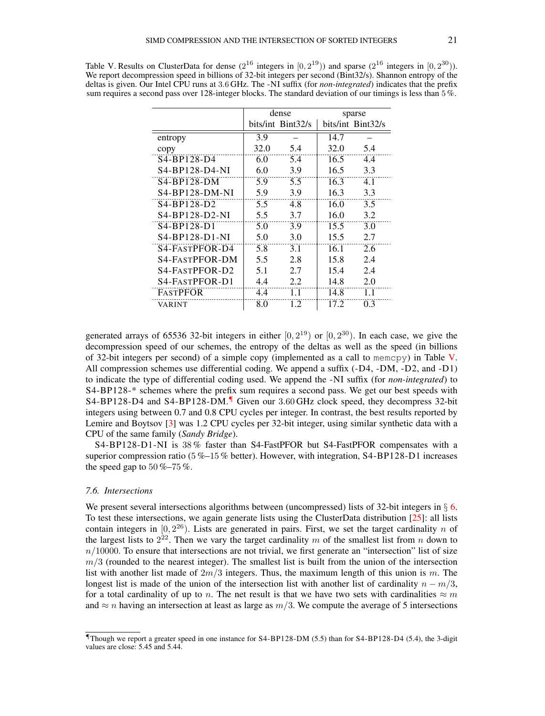|                                                   | dense |                   |      | sparse            |
|---------------------------------------------------|-------|-------------------|------|-------------------|
|                                                   |       | bits/int Bint32/s |      | bits/int_Bint32/s |
| entropy                                           | 3.9   |                   | 14.7 |                   |
| copy                                              | 32.0  | 5.4               | 32.0 | 5.4               |
| S <sub>4</sub> -BP <sub>128</sub> -D <sub>4</sub> | 6.0   | 5.4               | 16.5 | 4.4               |
| S4-BP128-D4-NI                                    | 6.0   | 3.9               | 16.5 | 3.3               |
| S <sub>4</sub> -BP <sub>128</sub> -DM             | 5.9   | 5.5               | 16.3 | 4.1               |
| S4-BP128-DM-NI                                    | 5.9   | 3.9               | 16.3 | 3.3               |
| $S4-BP128-D2$                                     | 5.5   | 4.8               | 16.0 | 3.5               |
| S4-BP128-D2-NI                                    | 5.5   | 3.7               | 16.0 | 3.2               |
| S <sub>4</sub> -BP <sub>128</sub> -D <sub>1</sub> | 5.0   | 3.9               | 15.5 | 3.0               |
| S4-BP128-D1-NI                                    | 5.0   | 3.0               | 15.5 | 2.7               |
| S4-FASTPFOR-D4                                    | 5.8   | 3.1               | 16.1 | 2.6               |
| S4-FASTPFOR-DM                                    | 5.5   | 2.8               | 15.8 | 2.4               |
| S4-FASTPFOR-D2                                    | 5.1   | 2.7               | 15.4 | 2.4               |
| S4-FASTPFOR-D1                                    | 4.4   | 2.2               | 14.8 | 2.0               |
| <b>FASTPFOR</b>                                   | 4.4   | 1.1               | 14.8 | 1.1               |
| VARINT                                            | 8.0   | 1.2               | 17.2 | 0.3               |

<span id="page-20-1"></span>Table V. Results on ClusterData for dense ( $2^{16}$  integers in  $[0, 2^{19})$ ) and sparse ( $2^{16}$  integers in  $[0, 2^{30})$ ). We report decompression speed in billions of 32-bit integers per second (Bint32/s). Shannon entropy of the deltas is given. Our Intel CPU runs at 3.6 GHz. The -NI suffix (for *non-integrated*) indicates that the prefix sum requires a second pass over 128-integer blocks. The standard deviation of our timings is less than 5%.

generated arrays of 65536 32-bit integers in either  $[0, 2^{19})$  or  $[0, 2^{30})$ . In each case, we give the decompression speed of our schemes, the entropy of the deltas as well as the speed (in billions of 32-bit integers per second) of a simple copy (implemented as a call to memcpy) in Table [V.](#page-20-1) All compression schemes use differential coding. We append a suffix (-D4, -DM, -D2, and -D1) to indicate the type of differential coding used. We append the -NI suffix (for *non-integrated*) to S4-BP128-\* schemes where the prefix sum requires a second pass. We get our best speeds with S4-BP128-D4 and S4-BP128-DM.[¶](#page-20-2) Given our 3.60 GHz clock speed, they decompress 32-bit integers using between 0.7 and 0.8 CPU cycles per integer. In contrast, the best results reported by Lemire and Boytsov [\[3\]](#page-25-2) was 1.2 CPU cycles per 32-bit integer, using similar synthetic data with a CPU of the same family (*Sandy Bridge*).

S4-BP128-D1-NI is 38 % faster than S4-FastPFOR but S4-FastPFOR compensates with a superior compression ratio (5  $\%$  –15  $\%$  better). However, with integration, S4-BP128-D1 increases the speed gap to  $50\,\%-75\,\%$ .

#### <span id="page-20-0"></span>*7.6. Intersections*

We present several intersections algorithms between (uncompressed) lists of 32-bit integers in § [6.](#page-10-0) To test these intersections, we again generate lists using the ClusterData distribution [\[25\]](#page-27-5): all lists contain integers in  $[0, 2^{26})$ . Lists are generated in pairs. First, we set the target cardinality n of the largest lists to  $2^{22}$ . Then we vary the target cardinality m of the smallest list from n down to  $n/10000$ . To ensure that intersections are not trivial, we first generate an "intersection" list of size  $m/3$  (rounded to the nearest integer). The smallest list is built from the union of the intersection list with another list made of  $2m/3$  integers. Thus, the maximum length of this union is m. The longest list is made of the union of the intersection list with another list of cardinality  $n - m/3$ , for a total cardinality of up to n. The net result is that we have two sets with cardinalities  $\approx m$ and  $\approx n$  having an intersection at least as large as  $m/3$ . We compute the average of 5 intersections

<span id="page-20-2"></span><sup>¶</sup>Though we report a greater speed in one instance for S4-BP128-DM (5.5) than for S4-BP128-D4 (5.4), the 3-digit values are close: 5.45 and 5.44.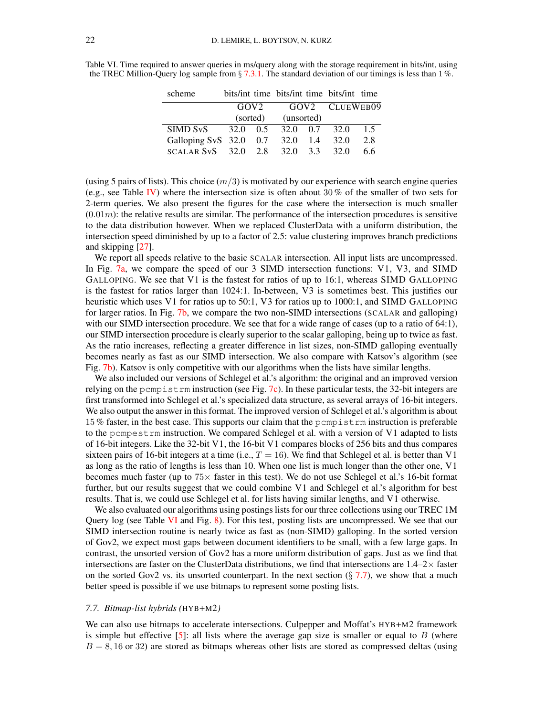| scheme             |          |     |                  |     | bits/int time bits/int time bits/int time |     |
|--------------------|----------|-----|------------------|-----|-------------------------------------------|-----|
|                    | GOV2     |     | GOV2 CLUEWEB09   |     |                                           |     |
|                    | (sorted) |     | (unsorted)       |     |                                           |     |
| <b>SIMD SvS</b>    | 32.0     | 0.5 | 32.0 0.7         |     | 32.0                                      | 1.5 |
| Galloping SvS 32.0 |          | 0.7 | 32.0             | 1.4 | 32.0                                      | 2.8 |
| SCALAR SVS 32.0    |          | 2.8 | $32.0 \quad 3.3$ |     | 32.O                                      | 66  |

<span id="page-21-1"></span>Table VI. Time required to answer queries in ms/query along with the storage requirement in bits/int, using the TREC Million-Query log sample from  $\S 7.3.1$ . The standard deviation of our timings is less than 1%.

(using 5 pairs of lists). This choice  $(m/3)$  is motivated by our experience with search engine queries (e.g., see Table [IV\)](#page-18-0) where the intersection size is often about 30 % of the smaller of two sets for 2-term queries. We also present the figures for the case where the intersection is much smaller  $(0.01m)$ : the relative results are similar. The performance of the intersection procedures is sensitive to the data distribution however. When we replaced ClusterData with a uniform distribution, the intersection speed diminished by up to a factor of 2.5: value clustering improves branch predictions and skipping [\[27\]](#page-27-7).

We report all speeds relative to the basic SCALAR intersection. All input lists are uncompressed. In Fig. [7a,](#page-22-0) we compare the speed of our 3 SIMD intersection functions: V1, V3, and SIMD GALLOPING. We see that V1 is the fastest for ratios of up to 16:1, whereas SIMD GALLOPING is the fastest for ratios larger than 1024:1. In-between, V3 is sometimes best. This justifies our heuristic which uses V1 for ratios up to 50:1, V3 for ratios up to 1000:1, and SIMD GALLOPING for larger ratios. In Fig. [7b,](#page-22-1) we compare the two non-SIMD intersections (SCALAR and galloping) with our SIMD intersection procedure. We see that for a wide range of cases (up to a ratio of 64:1), our SIMD intersection procedure is clearly superior to the scalar galloping, being up to twice as fast. As the ratio increases, reflecting a greater difference in list sizes, non-SIMD galloping eventually becomes nearly as fast as our SIMD intersection. We also compare with Katsov's algorithm (see Fig. [7b\)](#page-22-1). Katsov is only competitive with our algorithms when the lists have similar lengths.

We also included our versions of Schlegel et al.'s algorithm: the original and an improved version relying on the pcmpistrm instruction (see Fig. [7c\)](#page-22-2). In these particular tests, the 32-bit integers are first transformed into Schlegel et al.'s specialized data structure, as several arrays of 16-bit integers. We also output the answer in this format. The improved version of Schlegel et al.'s algorithm is about 15 % faster, in the best case. This supports our claim that the pcmpistrm instruction is preferable to the pcmpestrm instruction. We compared Schlegel et al. with a version of V1 adapted to lists of 16-bit integers. Like the 32-bit V1, the 16-bit V1 compares blocks of 256 bits and thus compares sixteen pairs of 16-bit integers at a time (i.e.,  $T = 16$ ). We find that Schlegel et al. is better than V1 as long as the ratio of lengths is less than 10. When one list is much longer than the other one, V1 becomes much faster (up to 75× faster in this test). We do not use Schlegel et al.'s 16-bit format further, but our results suggest that we could combine V1 and Schlegel et al.'s algorithm for best results. That is, we could use Schlegel et al. for lists having similar lengths, and V1 otherwise.

We also evaluated our algorithms using postings lists for our three collections using our TREC 1M Query log (see Table [VI](#page-21-1) and Fig. [8\)](#page-23-0). For this test, posting lists are uncompressed. We see that our SIMD intersection routine is nearly twice as fast as (non-SIMD) galloping. In the sorted version of Gov2, we expect most gaps between document identifiers to be small, with a few large gaps. In contrast, the unsorted version of Gov2 has a more uniform distribution of gaps. Just as we find that intersections are faster on the ClusterData distributions, we find that intersections are 1.4–2× faster on the sorted Gov2 vs. its unsorted counterpart. In the next section  $(\S 7.7)$  $(\S 7.7)$ , we show that a much better speed is possible if we use bitmaps to represent some posting lists.

### <span id="page-21-0"></span>*7.7. Bitmap-list hybrids (*HYB+M2*)*

We can also use bitmaps to accelerate intersections. Culpepper and Moffat's  $HYB+M2$  framework is simple but effective  $[5]$ : all lists where the average gap size is smaller or equal to B (where  $B = 8, 16$  or 32) are stored as bitmaps whereas other lists are stored as compressed deltas (using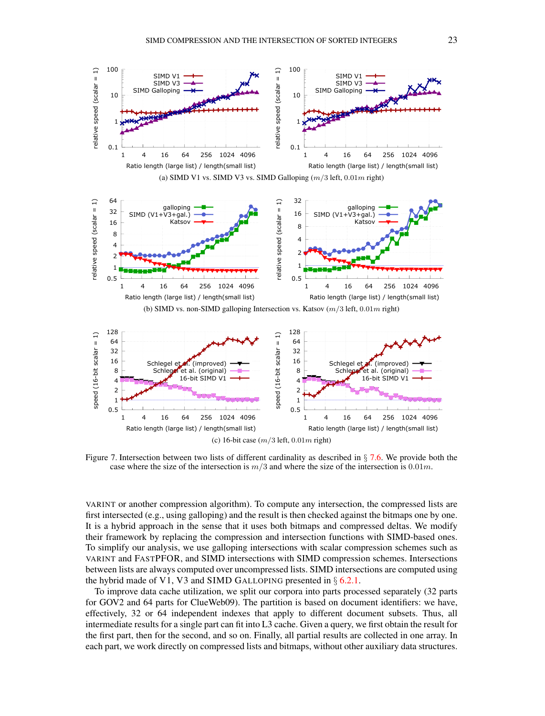<span id="page-22-1"></span><span id="page-22-0"></span>



<span id="page-22-2"></span>Figure 7. Intersection between two lists of different cardinality as described in § [7.6.](#page-20-0) We provide both the case where the size of the intersection is  $m/3$  and where the size of the intersection is 0.01m.

VARINT or another compression algorithm). To compute any intersection, the compressed lists are first intersected (e.g., using galloping) and the result is then checked against the bitmaps one by one. It is a hybrid approach in the sense that it uses both bitmaps and compressed deltas. We modify their framework by replacing the compression and intersection functions with SIMD-based ones. To simplify our analysis, we use galloping intersections with scalar compression schemes such as VARINT and FASTPFOR, and SIMD intersections with SIMD compression schemes. Intersections between lists are always computed over uncompressed lists. SIMD intersections are computed using the hybrid made of V1, V3 and SIMD GALLOPING presented in  $\S$  [6.2.1.](#page-14-1)

To improve data cache utilization, we split our corpora into parts processed separately (32 parts for GOV2 and 64 parts for ClueWeb09). The partition is based on document identifiers: we have, effectively, 32 or 64 independent indexes that apply to different document subsets. Thus, all intermediate results for a single part can fit into L3 cache. Given a query, we first obtain the result for the first part, then for the second, and so on. Finally, all partial results are collected in one array. In each part, we work directly on compressed lists and bitmaps, without other auxiliary data structures.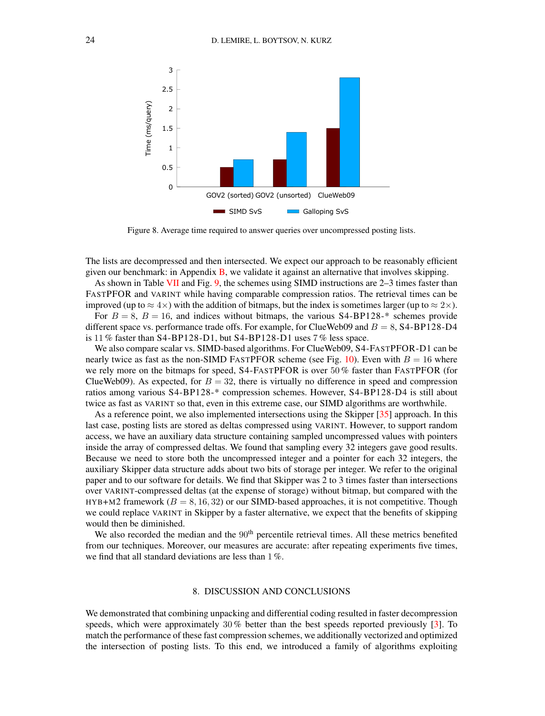<span id="page-23-0"></span>

Figure 8. Average time required to answer queries over uncompressed posting lists.

The lists are decompressed and then intersected. We expect our approach to be reasonably efficient given our benchmark: in Appendix [B,](#page-28-0) we validate it against an alternative that involves skipping.

As shown in Table [VII](#page-26-6) and Fig. [9,](#page-24-0) the schemes using SIMD instructions are 2–3 times faster than FASTPFOR and VARINT while having comparable compression ratios. The retrieval times can be improved (up to  $\approx 4 \times$ ) with the addition of bitmaps, but the index is sometimes larger (up to  $\approx 2 \times$ ).

For  $B = 8$ ,  $B = 16$ , and indices without bitmaps, the various S4-BP128-\* schemes provide different space vs. performance trade offs. For example, for ClueWeb09 and  $B = 8$ , S4-BP128-D4 is 11 % faster than S4-BP128-D1, but S4-BP128-D1 uses 7 % less space.

We also compare scalar vs. SIMD-based algorithms. For ClueWeb09, S4-FASTPFOR-D1 can be nearly twice as fast as the non-SIMD FASTPFOR scheme (see Fig. [10\)](#page-25-13). Even with  $B = 16$  where we rely more on the bitmaps for speed, S4-FASTPFOR is over 50 % faster than FASTPFOR (for ClueWeb09). As expected, for  $B = 32$ , there is virtually no difference in speed and compression ratios among various S4-BP128-\* compression schemes. However, S4-BP128-D4 is still about twice as fast as VARINT so that, even in this extreme case, our SIMD algorithms are worthwhile.

As a reference point, we also implemented intersections using the Skipper [\[35\]](#page-27-16) approach. In this last case, posting lists are stored as deltas compressed using VARINT. However, to support random access, we have an auxiliary data structure containing sampled uncompressed values with pointers inside the array of compressed deltas. We found that sampling every 32 integers gave good results. Because we need to store both the uncompressed integer and a pointer for each 32 integers, the auxiliary Skipper data structure adds about two bits of storage per integer. We refer to the original paper and to our software for details. We find that Skipper was 2 to 3 times faster than intersections over VARINT-compressed deltas (at the expense of storage) without bitmap, but compared with the HYB+M2 framework ( $B = 8, 16, 32$ ) or our SIMD-based approaches, it is not competitive. Though we could replace VARINT in Skipper by a faster alternative, we expect that the benefits of skipping would then be diminished.

We also recorded the median and the 90<sup>th</sup> percentile retrieval times. All these metrics benefited from our techniques. Moreover, our measures are accurate: after repeating experiments five times, we find that all standard deviations are less than  $1\%$ .

### 8. DISCUSSION AND CONCLUSIONS

We demonstrated that combining unpacking and differential coding resulted in faster decompression speeds, which were approximately  $30\%$  better than the best speeds reported previously [\[3\]](#page-25-2). To match the performance of these fast compression schemes, we additionally vectorized and optimized the intersection of posting lists. To this end, we introduced a family of algorithms exploiting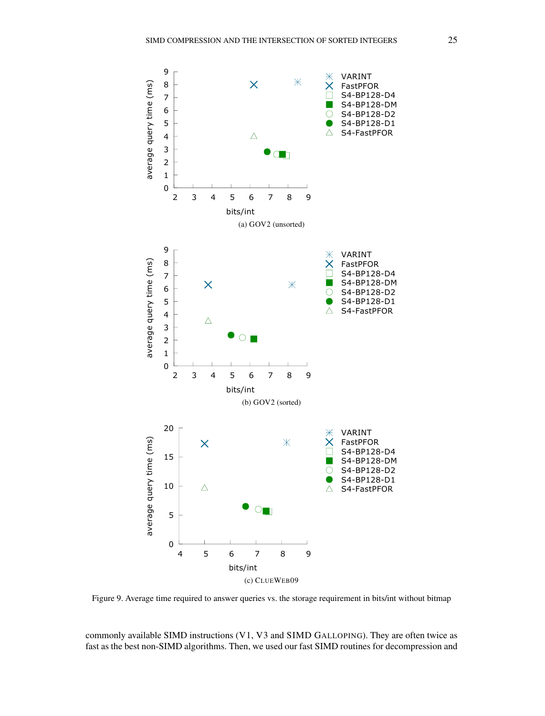<span id="page-24-0"></span>

Figure 9. Average time required to answer queries vs. the storage requirement in bits/int without bitmap

commonly available SIMD instructions (V1, V3 and SIMD GALLOPING). They are often twice as fast as the best non-SIMD algorithms. Then, we used our fast SIMD routines for decompression and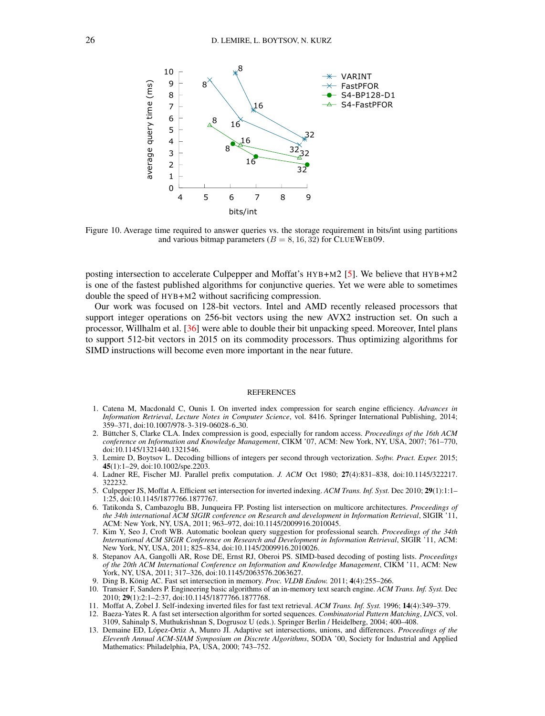<span id="page-25-13"></span>

Figure 10. Average time required to answer queries vs. the storage requirement in bits/int using partitions and various bitmap parameters ( $B = 8, 16, 32$ ) for CLUEWEB09.

posting intersection to accelerate Culpepper and Moffat's HYB+M2 [\[5\]](#page-25-4). We believe that HYB+M2 is one of the fastest published algorithms for conjunctive queries. Yet we were able to sometimes double the speed of HYB+M2 without sacrificing compression.

Our work was focused on 128-bit vectors. Intel and AMD recently released processors that support integer operations on 256-bit vectors using the new AVX2 instruction set. On such a processor, Willhalm et al. [\[36\]](#page-27-17) were able to double their bit unpacking speed. Moreover, Intel plans to support 512-bit vectors in 2015 on its commodity processors. Thus optimizing algorithms for SIMD instructions will become even more important in the near future.

#### **REFERENCES**

- <span id="page-25-0"></span>1. Catena M, Macdonald C, Ounis I. On inverted index compression for search engine efficiency. *Advances in Information Retrieval*, *Lecture Notes in Computer Science*, vol. 8416. Springer International Publishing, 2014; 359–371, doi:10.1007/978-3-319-06028-6 30.
- <span id="page-25-1"></span>2. Buttcher S, Clarke CLA. Index compression is good, especially for random access. Proceedings of the 16th ACM *conference on Information and Knowledge Management*, CIKM '07, ACM: New York, NY, USA, 2007; 761–770, doi:10.1145/1321440.1321546.
- <span id="page-25-2"></span>3. Lemire D, Boytsov L. Decoding billions of integers per second through vectorization. *Softw. Pract. Exper.* 2015; 45(1):1–29, doi:10.1002/spe.2203.
- <span id="page-25-3"></span>4. Ladner RE, Fischer MJ. Parallel prefix computation. *J. ACM* Oct 1980; 27(4):831–838, doi:10.1145/322217. 322232.
- <span id="page-25-4"></span>5. Culpepper JS, Moffat A. Efficient set intersection for inverted indexing. *ACM Trans. Inf. Syst.* Dec 2010; 29(1):1:1– 1:25, doi:10.1145/1877766.1877767.
- <span id="page-25-5"></span>6. Tatikonda S, Cambazoglu BB, Junqueira FP. Posting list intersection on multicore architectures. *Proceedings of the 34th international ACM SIGIR conference on Research and development in Information Retrieval*, SIGIR '11, ACM: New York, NY, USA, 2011; 963–972, doi:10.1145/2009916.2010045.
- <span id="page-25-6"></span>7. Kim Y, Seo J, Croft WB. Automatic boolean query suggestion for professional search. *Proceedings of the 34th International ACM SIGIR Conference on Research and Development in Information Retrieval*, SIGIR '11, ACM: New York, NY, USA, 2011; 825–834, doi:10.1145/2009916.2010026.
- <span id="page-25-7"></span>8. Stepanov AA, Gangolli AR, Rose DE, Ernst RJ, Oberoi PS. SIMD-based decoding of posting lists. *Proceedings of the 20th ACM International Conference on Information and Knowledge Management*, CIKM '11, ACM: New York, NY, USA, 2011; 317–326, doi:10.1145/2063576.2063627.
- <span id="page-25-8"></span>9. Ding B, König AC. Fast set intersection in memory. *Proc. VLDB Endow.* 2011; 4(4):255–266.
- <span id="page-25-9"></span>10. Transier F, Sanders P. Engineering basic algorithms of an in-memory text search engine. *ACM Trans. Inf. Syst.* Dec 2010; 29(1):2:1–2:37, doi:10.1145/1877766.1877768.
- <span id="page-25-10"></span>11. Moffat A, Zobel J. Self-indexing inverted files for fast text retrieval. *ACM Trans. Inf. Syst.* 1996; 14(4):349–379.
- <span id="page-25-11"></span>12. Baeza-Yates R. A fast set intersection algorithm for sorted sequences. *Combinatorial Pattern Matching*, *LNCS*, vol. 3109, Sahinalp S, Muthukrishnan S, Dogrusoz U (eds.). Springer Berlin / Heidelberg, 2004; 400–408.
- <span id="page-25-12"></span>13. Demaine ED, López-Ortiz A, Munro JI. Adaptive set intersections, unions, and differences. *Proceedings of the Eleventh Annual ACM-SIAM Symposium on Discrete Algorithms*, SODA '00, Society for Industrial and Applied Mathematics: Philadelphia, PA, USA, 2000; 743–752.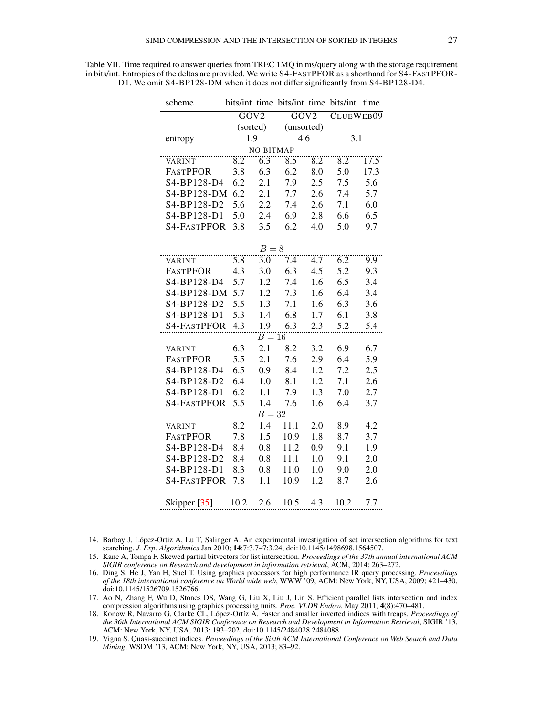| scheme                           | bits/int time     |                  | bits/int time     |                  | bits/int         | time             |
|----------------------------------|-------------------|------------------|-------------------|------------------|------------------|------------------|
|                                  | $\overline{GOV2}$ |                  | $\overline{GOV2}$ |                  | CLUEWEB09        |                  |
|                                  | (sorted)          |                  | (unsorted)        |                  |                  |                  |
| entropy                          | $\overline{1.9}$  |                  | 4.6               |                  | $\overline{3.1}$ |                  |
|                                  |                   | <b>NO BITMAP</b> |                   |                  |                  |                  |
| <b>VARINT</b>                    | 8.2               | $\overline{6.3}$ | $\overline{8.5}$  | 8.2              | 8.2              | 17.5             |
| <b>FASTPFOR</b>                  | 3.8               | 6.3              | 6.2               | 8.0              | 5.0              | 17.3             |
| S4-BP128-D4                      | 6.2               | 2.1              | 7.9               | 2.5              | 7.5              | 5.6              |
| S4-BP128-DM                      | 6.2               | 2.1              | 7.7               | 2.6              | 7.4              | 5.7              |
| S4-BP128-D2                      | 5.6               | 2.2              | 7.4               | 2.6              | 7.1              | 6.0              |
| S4-BP128-D1                      | 5.0               | 2.4              | 6.9               | 2.8              | 6.6              | 6.5              |
| <b>S4-FASTPFOR</b>               | 3.8               | 3.5              | 6.2               | 4.0              | 5.0              | 9.7              |
|                                  |                   |                  |                   |                  |                  |                  |
|                                  |                   | $B=8$            |                   |                  |                  |                  |
| <b>VARINT</b>                    | 5.8               | $\overline{3.0}$ | 7.4               | 4.7              | 6.2              | 9.9              |
| <b>FASTPFOR</b>                  | 4.3               | 3.0              | 6.3               | 4.5              | 5.2              | 9.3              |
| S4-BP128-D4                      | 5.7               | 1.2              | 7.4               | 1.6              | 6.5              | 3.4              |
| S4-BP128-DM                      | 5.7               | 1.2              | 7.3               | 1.6              | 6.4              | 3.4              |
| S4-BP128-D2                      | 5.5               | 1.3              | 7.1               | 1.6              | 6.3              | 3.6              |
| S4-BP128-D1                      | 5.3               | 1.4              | 6.8               | 1.7              | 6.1              | 3.8              |
| <b>S4-FASTPFOR</b>               | 4.3               | 1.9              | 6.3               | 2.3              | 5.2              | 5.4              |
|                                  |                   | $B = 16$         |                   |                  |                  |                  |
| <b>VARINT</b>                    | 6.3               | $\overline{2.1}$ | 8.2               | 3.2              | 6.9              | 6.7              |
| <b>FASTPFOR</b>                  | 5.5               | 2.1              | 7.6               | 2.9              | 6.4              | 5.9              |
| S4-BP128-D4                      | 6.5               | 0.9              | 8.4               | 1.2              | 7.2              | 2.5              |
| S4-BP128-D2                      | 6.4               | 1.0              | 8.1               | 1.2              | 7.1              | 2.6              |
| S4-BP128-D1                      | 6.2               | 1.1              | 7.9               | 1.3              | 7.0              | 2.7              |
| S4-FASTPFOR                      | 5.5               | 1.4              | 7.6               | 1.6              | 6.4              | 3.7              |
|                                  |                   | $B=32$           |                   |                  |                  |                  |
| <b>VARINT</b>                    | $\overline{8.2}$  | 1.4              | 11.1              | $\overline{2.0}$ | 8.9              | $\overline{4.2}$ |
| <b>FASTPFOR</b>                  | 7.8               | 1.5              | 10.9              | 1.8              | 8.7              | 3.7              |
| S4-BP128-D4                      | 8.4               | 0.8              | 11.2              | 0.9              | 9.1              | 1.9              |
| S4-BP128-D2                      | 8.4               | 0.8              | 11.1              | 1.0              | 9.1              | 2.0              |
| S4-BP128-D1                      | 8.3               | 0.8              | 11.0              | 1.0              | 9.0              | 2.0              |
| S4-FASTPFOR                      | 7.8               | 1.1              | 10.9              | 1.2              | 8.7              | 2.6              |
|                                  |                   |                  |                   |                  |                  |                  |
| $\overline{\text{Skipper}}$ [35] | 10.2              | 2.6              | 10.5              | 4.3              | 10.2             | 7.7              |

<span id="page-26-6"></span>Table VII. Time required to answer queries from TREC 1MQ in ms/query along with the storage requirement in bits/int. Entropies of the deltas are provided. We write S4-FASTPFOR as a shorthand for S4-FASTPFOR-D1. We omit S4-BP128-DM when it does not differ significantly from S4-BP128-D4.

<span id="page-26-0"></span>14. Barbay J, Lopez-Ortiz A, Lu T, Salinger A. An experimental investigation of set intersection algorithms for text ´ searching. *J. Exp. Algorithmics* Jan 2010; 14:7:3.7–7:3.24, doi:10.1145/1498698.1564507.

<span id="page-26-1"></span>15. Kane A, Tompa F. Skewed partial bitvectors for list intersection. *Proceedings of the 37th annual international ACM SIGIR conference on Research and development in information retrieval*, ACM, 2014; 263–272.

<span id="page-26-2"></span>16. Ding S, He J, Yan H, Suel T. Using graphics processors for high performance IR query processing. *Proceedings of the 18th international conference on World wide web*, WWW '09, ACM: New York, NY, USA, 2009; 421–430, doi:10.1145/1526709.1526766.

<span id="page-26-3"></span>17. Ao N, Zhang F, Wu D, Stones DS, Wang G, Liu X, Liu J, Lin S. Efficient parallel lists intersection and index compression algorithms using graphics processing units. *Proc. VLDB Endow.* May 2011; 4(8):470–481.

<span id="page-26-4"></span>18. Konow R, Navarro G, Clarke CL, López-Ortíz A. Faster and smaller inverted indices with treaps. *Proceedings of the 36th International ACM SIGIR Conference on Research and Development in Information Retrieval*, SIGIR '13, ACM: New York, NY, USA, 2013; 193–202, doi:10.1145/2484028.2484088.

<span id="page-26-5"></span>19. Vigna S. Quasi-succinct indices. *Proceedings of the Sixth ACM International Conference on Web Search and Data Mining*, WSDM '13, ACM: New York, NY, USA, 2013; 83–92.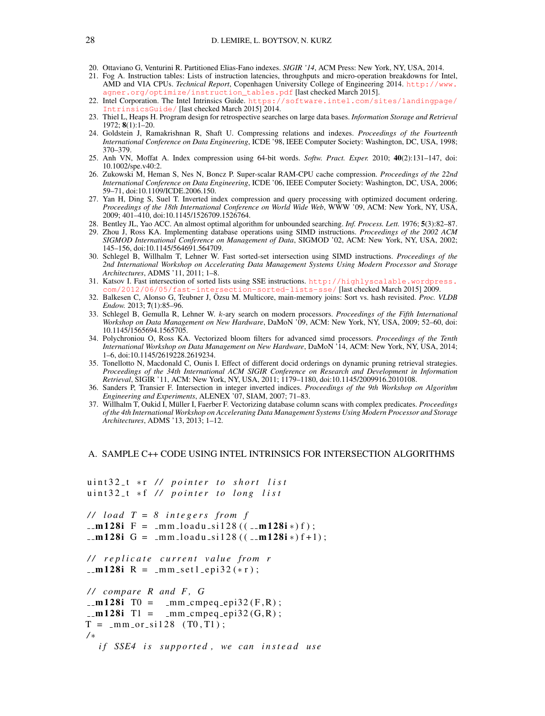- <span id="page-27-0"></span>20. Ottaviano G, Venturini R. Partitioned Elias-Fano indexes. *SIGIR '14*, ACM Press: New York, NY, USA, 2014.
- <span id="page-27-1"></span>21. Fog A. Instruction tables: Lists of instruction latencies, throughputs and micro-operation breakdowns for Intel, AMD and VIA CPUs. *Technical Report*, Copenhagen University College of Engineering 2014. [http://www.](http://www.agner.org/optimize/instruction_tables.pdf) [agner.org/optimize/instruction\\_tables.pdf](http://www.agner.org/optimize/instruction_tables.pdf) [last checked March 2015].
- <span id="page-27-2"></span>22. Intel Corporation. The Intel Intrinsics Guide. [https://software.intel.com/sites/landingpage/](https://software.intel.com/sites/landingpage/IntrinsicsGuide/) [IntrinsicsGuide/](https://software.intel.com/sites/landingpage/IntrinsicsGuide/) [last checked March 2015] 2014.
- <span id="page-27-3"></span>23. Thiel L, Heaps H. Program design for retrospective searches on large data bases. *Information Storage and Retrieval* 1972; 8(1):1–20.
- <span id="page-27-4"></span>24. Goldstein J, Ramakrishnan R, Shaft U. Compressing relations and indexes. *Proceedings of the Fourteenth International Conference on Data Engineering*, ICDE '98, IEEE Computer Society: Washington, DC, USA, 1998; 370–379.
- <span id="page-27-5"></span>25. Anh VN, Moffat A. Index compression using 64-bit words. *Softw. Pract. Exper.* 2010; 40(2):131–147, doi: 10.1002/spe.v40:2.
- <span id="page-27-6"></span>26. Zukowski M, Heman S, Nes N, Boncz P. Super-scalar RAM-CPU cache compression. *Proceedings of the 22nd International Conference on Data Engineering*, ICDE '06, IEEE Computer Society: Washington, DC, USA, 2006; 59–71, doi:10.1109/ICDE.2006.150.
- <span id="page-27-7"></span>27. Yan H, Ding S, Suel T. Inverted index compression and query processing with optimized document ordering. *Proceedings of the 18th International Conference on World Wide Web*, WWW '09, ACM: New York, NY, USA, 2009; 401–410, doi:10.1145/1526709.1526764.
- <span id="page-27-8"></span>28. Bentley JL, Yao ACC. An almost optimal algorithm for unbounded searching. *Inf. Process. Lett.* 1976; 5(3):82–87.
- 29. Zhou J, Ross KA. Implementing database operations using SIMD instructions. *Proceedings of the 2002 ACM SIGMOD International Conference on Management of Data*, SIGMOD '02, ACM: New York, NY, USA, 2002; 145–156, doi:10.1145/564691.564709.
- <span id="page-27-9"></span>30. Schlegel B, Willhalm T, Lehner W. Fast sorted-set intersection using SIMD instructions. *Proceedings of the 2nd International Workshop on Accelerating Data Management Systems Using Modern Processor and Storage Architectures*, ADMS '11, 2011; 1–8.
- <span id="page-27-10"></span>31. Katsov I. Fast intersection of sorted lists using SSE instructions. [http://highlyscalable.wordpress.](http://highlyscalable.wordpress.com/2012/06/05/fast-intersection-sorted-lists-sse/) [com/2012/06/05/fast-intersection-sorted-lists-sse/](http://highlyscalable.wordpress.com/2012/06/05/fast-intersection-sorted-lists-sse/) [last checked March 2015] 2009.
- <span id="page-27-11"></span>32. Balkesen C, Alonso G, Teubner J, Özsu M. Multicore, main-memory joins: Sort vs. hash revisited. Proc. VLDB *Endow.* 2013; 7(1):85–96.
- <span id="page-27-12"></span>33. Schlegel B, Gemulla R, Lehner W. k-ary search on modern processors. *Proceedings of the Fifth International Workshop on Data Management on New Hardware*, DaMoN '09, ACM: New York, NY, USA, 2009; 52–60, doi: 10.1145/1565694.1565705.
- <span id="page-27-14"></span>34. Polychroniou O, Ross KA. Vectorized bloom filters for advanced simd processors. *Proceedings of the Tenth International Workshop on Data Management on New Hardware*, DaMoN '14, ACM: New York, NY, USA, 2014; 1–6, doi:10.1145/2619228.2619234.
- <span id="page-27-15"></span>35. Tonellotto N, Macdonald C, Ounis I. Effect of different docid orderings on dynamic pruning retrieval strategies. *Proceedings of the 34th International ACM SIGIR Conference on Research and Development in Information Retrieval*, SIGIR '11, ACM: New York, NY, USA, 2011; 1179–1180, doi:10.1145/2009916.2010108.
- <span id="page-27-16"></span>36. Sanders P, Transier F. Intersection in integer inverted indices. *Proceedings of the 9th Workshop on Algorithm Engineering and Experiments*, ALENEX '07, SIAM, 2007; 71–83.
- <span id="page-27-17"></span>37. Willhalm T, Oukid I, Müller I, Faerber F. Vectorizing database column scans with complex predicates. *Proceedings of the 4th International Workshop on Accelerating Data Management Systems Using Modern Processor and Storage Architectures*, ADMS '13, 2013; 1–12.

#### <span id="page-27-13"></span>A. SAMPLE C++ CODE USING INTEL INTRINSICS FOR INTERSECTION ALGORITHMS

```
uint32_t *r // pointer to short list
uint32<sub>-t</sub> *f // pointer to long list
\frac{1}{\sqrt{2}} load T = 8 integers from f
\text{m128i} F = \text{mm}\text{-} loadu_si128 ((\text{mm}\text{-}m128i*) f);
-m128i G = -mm loadu si128 ((-m128i) f+1);
/ / r e p l i c a t e c u r r e n t v a l u e f r om r
\text{m128i} R = \text{mm} set 1 e pi 32 (* r);
/ / compare R and F , G
-m 1 28i T0 = mm cmpeq epi32 (F,R);
-m128i T1 = mm cmpeq epi32(G,R);
T = \text{mm}_o r_s i 128 (T0, T1);
/ ∗
   if SSE4 is supported, we can instead use
```